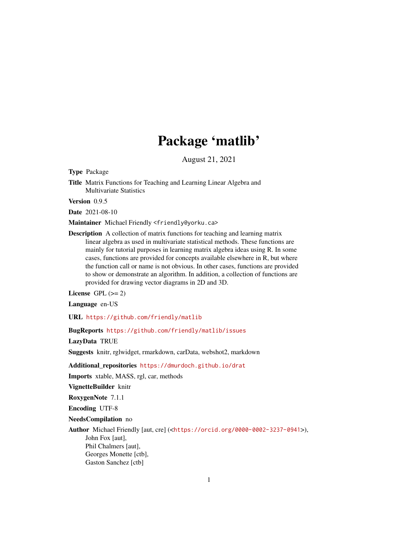# Package 'matlib'

August 21, 2021

<span id="page-0-0"></span>Type Package

Title Matrix Functions for Teaching and Learning Linear Algebra and Multivariate Statistics

Version 0.9.5

Date 2021-08-10

Maintainer Michael Friendly <friendly@yorku.ca>

Description A collection of matrix functions for teaching and learning matrix linear algebra as used in multivariate statistical methods. These functions are mainly for tutorial purposes in learning matrix algebra ideas using R. In some cases, functions are provided for concepts available elsewhere in R, but where the function call or name is not obvious. In other cases, functions are provided to show or demonstrate an algorithm. In addition, a collection of functions are provided for drawing vector diagrams in 2D and 3D.

License GPL  $(>= 2)$ 

Language en-US

URL <https://github.com/friendly/matlib>

BugReports <https://github.com/friendly/matlib/issues>

LazyData TRUE

Suggests knitr, rglwidget, rmarkdown, carData, webshot2, markdown

Additional\_repositories <https://dmurdoch.github.io/drat>

Imports xtable, MASS, rgl, car, methods

VignetteBuilder knitr

RoxygenNote 7.1.1

Encoding UTF-8

NeedsCompilation no

Author Michael Friendly [aut, cre] (<<https://orcid.org/0000-0002-3237-0941>>), John Fox [aut], Phil Chalmers [aut], Georges Monette [ctb], Gaston Sanchez [ctb]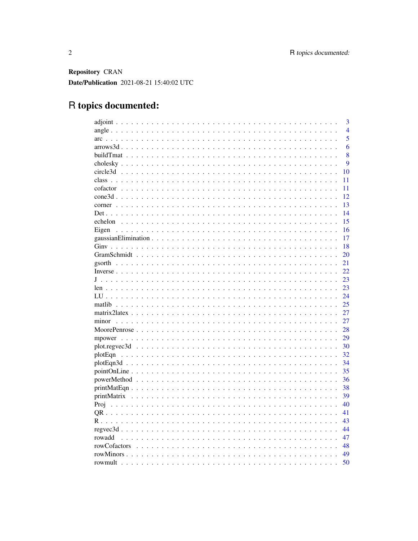Repository CRAN Date/Publication 2021-08-21 15:40:02 UTC

# R topics documented:

|              | 3              |
|--------------|----------------|
|              | $\overline{4}$ |
|              | $\overline{5}$ |
|              | 6              |
|              | 8              |
|              | 9              |
|              | 10             |
|              | 11             |
|              | 11             |
|              | 12             |
|              | 13             |
|              | 14             |
|              | 15             |
|              | 16             |
|              | 17             |
|              | 18             |
|              | 20             |
|              | 21             |
|              | 22             |
|              | 23             |
|              | 23             |
|              | 24             |
|              | 25             |
|              | 27             |
| minor        | 27             |
|              | 28             |
|              | 29             |
|              | 30             |
| plotEqn      | 32             |
|              | 34             |
|              | 35             |
|              | 36             |
|              | 38             |
|              | 39             |
|              | 40             |
|              | 41             |
|              | 43             |
|              | 44             |
| rowadd       | 47             |
| rowCofactors | 48             |
|              | 49             |
| rowmult      | 50             |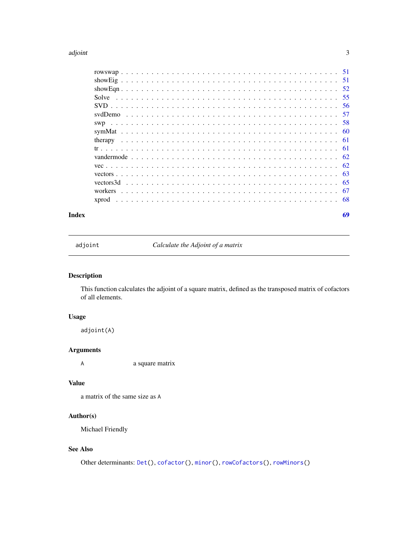#### <span id="page-2-0"></span>adjoint 3

| Index | 69 |
|-------|----|

<span id="page-2-1"></span>adjoint *Calculate the Adjoint of a matrix*

# Description

This function calculates the adjoint of a square matrix, defined as the transposed matrix of cofactors of all elements.

# Usage

adjoint(A)

# Arguments

A a square matrix

# Value

a matrix of the same size as A

# Author(s)

Michael Friendly

# See Also

Other determinants: [Det\(](#page-13-1)), [cofactor\(](#page-10-1)), [minor\(](#page-26-1)), [rowCofactors\(](#page-47-1)), [rowMinors\(](#page-48-1))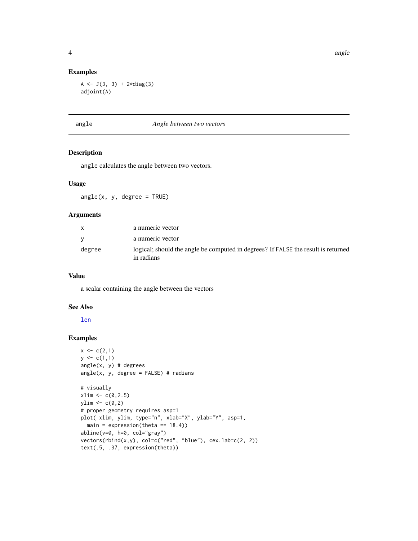#### Examples

 $A \leftarrow J(3, 3) + 2 \star diag(3)$ adjoint(A)

#### angle *Angle between two vectors*

# Description

angle calculates the angle between two vectors.

# Usage

angle(x, y, degree = TRUE)

#### Arguments

|        | a numeric vector                                                                                |
|--------|-------------------------------------------------------------------------------------------------|
|        | a numeric vector                                                                                |
| degree | logical; should the angle be computed in degrees? If FALSE the result is returned<br>in radians |

#### Value

a scalar containing the angle between the vectors

#### See Also

[len](#page-22-1)

```
x \leftarrow c(2,1)y \leq c(1,1)angle(x, y) # degrees
angle(x, y, degree = FALSE) # radians
# visually
xlim < -c(0, 2.5)ylim \leftarrow c(\emptyset,2)# proper geometry requires asp=1
plot( xlim, ylim, type="n", xlab="X", ylab="Y", asp=1,
  main = expression(theta == 18.4)abline(v=0, h=0, col="gray")
vectors(rbind(x,y), col=c("red", "blue"), cex.lab=c(2, 2))text(.5, .37, expression(theta))
```
<span id="page-3-0"></span>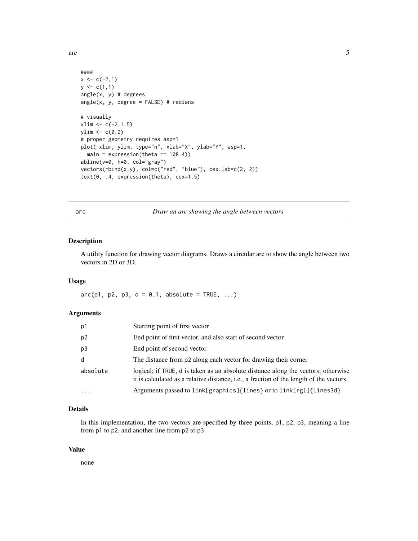<span id="page-4-0"></span> $\frac{1}{5}$  5

```
####
x \leftarrow c(-2,1)y \leftarrow c(1,1)angle(x, y) # degrees
angle(x, y, degree = FALSE) # radians
# visually
xlim < -c(-2,1.5)ylim \leftarrow c(0,2)# proper geometry requires asp=1
plot( xlim, ylim, type="n", xlab="X", ylab="Y", asp=1,
  main = expression(theta == 108.4)abline(v=0, h=0, col="gray")
vectors(rbind(x,y), col=c("red", "blue"), cex.lab=c(2, 2))
text(0, .4, expression(theta), cex=1.5)
```
<span id="page-4-1"></span>arc *Draw an arc showing the angle between vectors*

#### Description

A utility function for drawing vector diagrams. Draws a circular arc to show the angle between two vectors in 2D or 3D.

#### Usage

 $arc(p1, p2, p3, d = 0.1, absolute = TRUE, ...)$ 

#### Arguments

| p1       | Starting point of first vector                                                                                                                                               |
|----------|------------------------------------------------------------------------------------------------------------------------------------------------------------------------------|
| p2       | End point of first vector, and also start of second vector                                                                                                                   |
| p3       | End point of second vector                                                                                                                                                   |
| d        | The distance from p2 along each vector for drawing their corner                                                                                                              |
| absolute | logical; if TRUE, d is taken as an absolute distance along the vectors; otherwise<br>it is calculated as a relative distance, i.e., a fraction of the length of the vectors. |
| .        | Arguments passed to link[graphics]{lines} or to link[rgl]{lines3d}                                                                                                           |

# Details

In this implementation, the two vectors are specified by three points, p1, p2, p3, meaning a line from p1 to p2, and another line from p2 to p3.

#### Value

none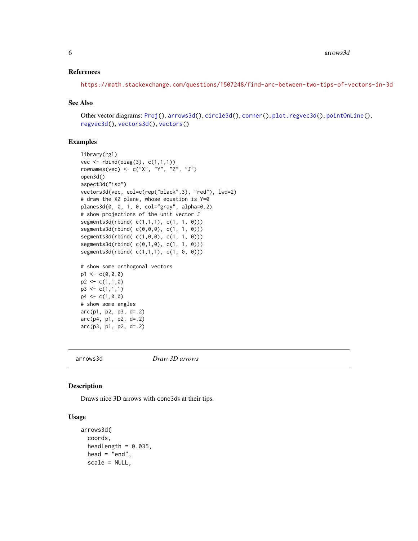#### <span id="page-5-0"></span>References

<https://math.stackexchange.com/questions/1507248/find-arc-between-two-tips-of-vectors-in-3d>

#### See Also

Other vector diagrams: [Proj\(](#page-39-1)), [arrows3d\(](#page-5-1)), [circle3d\(](#page-9-1)), [corner\(](#page-12-1)), [plot.regvec3d\(](#page-29-1)), [pointOnLine\(](#page-34-1)), [regvec3d\(](#page-43-1)), [vectors3d\(](#page-64-1)), [vectors\(](#page-62-1))

#### Examples

```
library(rgl)
vec \leftarrow rbind(diag(3), c(1,1,1))
rownames(vec) <- c("X", "Y", "Z", "J")
open3d()
aspect3d("iso")
vectors3d(vec, col=c(rep("black",3), "red"), lwd=2)
# draw the XZ plane, whose equation is Y=0
planes3d(0, 0, 1, 0, col="gray", alpha=0.2)
# show projections of the unit vector J
segments3d(rbind( c(1,1,1), c(1, 1, 0)))
segments3d(rbind( c(0,0,0), c(1, 1, 0)))
segments3d(rbind( c(1,0,0), c(1, 1, 0)))
segments3d(rbind( c(0,1,0), c(1, 1, 0)))
segments3d(rbind( c(1,1,1), c(1, 0, 0)))
# show some orthogonal vectors
p1 \leftarrow c(0, 0, 0)p2 \leq -c(1,1,0)p3 \leq c(1,1,1)p4 \leq c(1, 0, 0)# show some angles
arc(p1, p2, p3, d=.2)
arc(p4, p1, p2, d=.2)
arc(p3, p1, p2, d=.2)
```
<span id="page-5-1"></span>

arrows3d *Draw 3D arrows*

#### Description

Draws nice 3D arrows with cone3ds at their tips.

# Usage

```
arrows3d(
  coords,
  headlength = 0.035,
  head = "end",scale = NULL,
```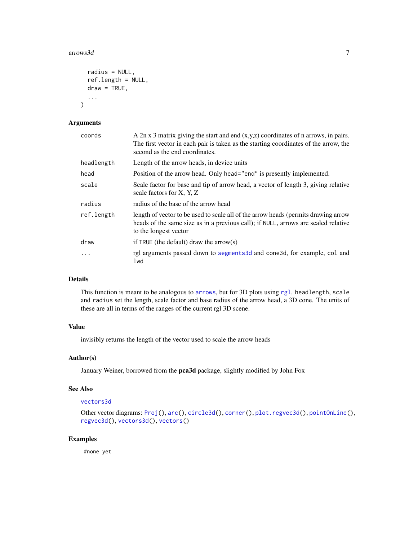#### <span id="page-6-0"></span>arrows3d 7

```
radius = NULL,
ref.length = NULL,
draw = TRUE,
...
```
# Arguments

)

| coords     | A $2n \times 3$ matrix giving the start and end $(x,y,z)$ coordinates of n arrows, in pairs.<br>The first vector in each pair is taken as the starting coordinates of the arrow, the<br>second as the end coordinates. |
|------------|------------------------------------------------------------------------------------------------------------------------------------------------------------------------------------------------------------------------|
| headlength | Length of the arrow heads, in device units                                                                                                                                                                             |
| head       | Position of the arrow head. Only head="end" is presently implemented.                                                                                                                                                  |
| scale      | Scale factor for base and tip of arrow head, a vector of length 3, giving relative<br>scale factors for X, Y, Z                                                                                                        |
| radius     | radius of the base of the arrow head                                                                                                                                                                                   |
| ref.length | length of vector to be used to scale all of the arrow heads (permits drawing arrow<br>heads of the same size as in a previous call); if NULL, arrows are scaled relative<br>to the longest vector                      |
| draw       | if TRUE (the default) draw the arrow(s)                                                                                                                                                                                |
| .          | rgl arguments passed down to segments3d and cone3d, for example, col and<br>lwd                                                                                                                                        |

# Details

This function is meant to be analogous to [arrows](#page-0-0), but for 3D plots using [rgl](#page-0-0). headlength, scale and radius set the length, scale factor and base radius of the arrow head, a 3D cone. The units of these are all in terms of the ranges of the current rgl 3D scene.

# Value

invisibly returns the length of the vector used to scale the arrow heads

#### Author(s)

January Weiner, borrowed from the pca3d package, slightly modified by John Fox

#### See Also

#### [vectors3d](#page-64-1)

```
Other vector diagrams: Proj(), arc(), circle3d(), corner(), plot.regvec3d(), pointOnLine(),
regvec3d(), vectors3d(), vectors()
```
# Examples

#none yet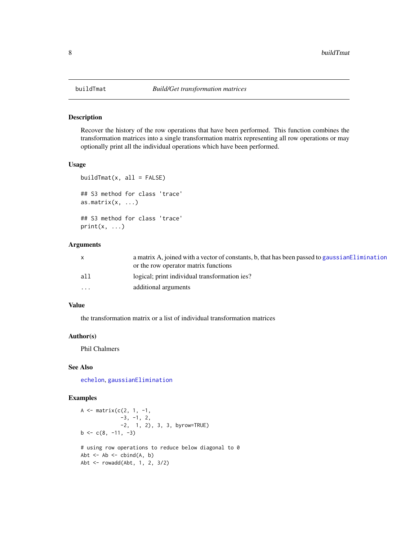<span id="page-7-0"></span>

Recover the history of the row operations that have been performed. This function combines the transformation matrices into a single transformation matrix representing all row operations or may optionally print all the individual operations which have been performed.

#### Usage

```
buildTmat(x, all = FALSE)## S3 method for class 'trace'
as.matrix(x, ...)## S3 method for class 'trace'
print(x, \ldots)
```
#### Arguments

|                      | a matrix A, joined with a vector of constants, b, that has been passed to gaussian Elimination |
|----------------------|------------------------------------------------------------------------------------------------|
|                      | or the row operator matrix functions                                                           |
| all                  | logical; print individual transformation ies?                                                  |
| $\ddot{\phantom{0}}$ | additional arguments                                                                           |

#### Value

the transformation matrix or a list of individual transformation matrices

# Author(s)

Phil Chalmers

# See Also

[echelon](#page-14-1), [gaussianElimination](#page-16-1)

```
A \leq - matrix(c(2, 1, -1,
             -3, -1, 2,-2, 1, 2), 3, 3, byrow=TRUE)
b \leq c(8, -11, -3)# using row operations to reduce below diagonal to 0
Abt \leq Ab \leq cbind(A, b)
Abt <- rowadd(Abt, 1, 2, 3/2)
```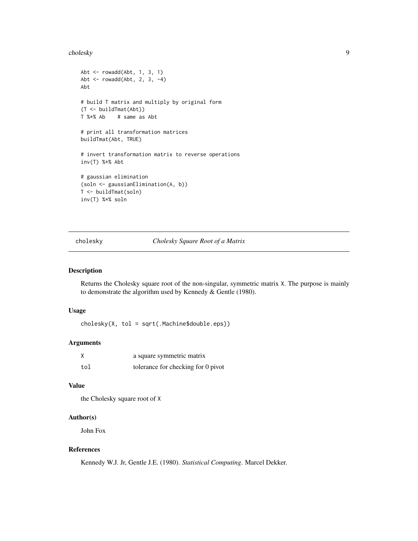#### <span id="page-8-0"></span>cholesky 90 and 200 and 200 and 200 and 200 and 200 and 200 and 200 and 200 and 200 and 200 and 200 and 200 and 200 and 200 and 200 and 200 and 200 and 200 and 200 and 200 and 200 and 200 and 200 and 200 and 200 and 200 an

```
Abt \leq rowadd(Abt, 1, 3, 1)
Abt <- rowadd(Abt, 2, 3, -4)
Abt
# build T matrix and multiply by original form
(T <- buildTmat(Abt))
T %*% Ab # same as Abt
# print all transformation matrices
buildTmat(Abt, TRUE)
# invert transformation matrix to reverse operations
inv(T) %*% Abt
# gaussian elimination
(soln <- gaussianElimination(A, b))
T <- buildTmat(soln)
inv(T) %*% soln
```
<span id="page-8-1"></span>cholesky *Cholesky Square Root of a Matrix*

#### Description

Returns the Cholesky square root of the non-singular, symmetric matrix X. The purpose is mainly to demonstrate the algorithm used by Kennedy & Gentle (1980).

#### Usage

cholesky(X, tol = sqrt(.Machine\$double.eps))

#### Arguments

|     | a square symmetric matrix          |
|-----|------------------------------------|
| tol | tolerance for checking for 0 pivot |

#### Value

the Cholesky square root of X

# Author(s)

John Fox

# References

Kennedy W.J. Jr, Gentle J.E. (1980). *Statistical Computing*. Marcel Dekker.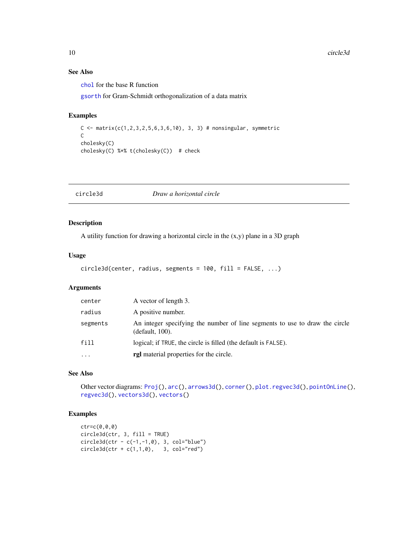# See Also

[chol](#page-0-0) for the base R function

[gsorth](#page-20-1) for Gram-Schmidt orthogonalization of a data matrix

#### Examples

```
C \leq - matrix(c(1,2,3,2,5,6,3,6,10), 3, 3) # nonsingular, symmetric
\mathsf Ccholesky(C)
cholesky(C) %*% t(cholesky(C)) # check
```
<span id="page-9-1"></span>circle3d *Draw a horizontal circle*

# Description

A utility function for drawing a horizontal circle in the (x,y) plane in a 3D graph

#### Usage

```
circle3d(center, radius, segments = 100, fill = FALSE, ...)
```
#### Arguments

| center    | A vector of length 3.                                                                          |
|-----------|------------------------------------------------------------------------------------------------|
| radius    | A positive number.                                                                             |
| segments  | An integer specifying the number of line segments to use to draw the circle<br>(default, 100). |
| fill      | logical; if TRUE, the circle is filled (the default is FALSE).                                 |
| $\ddotsc$ | <b>rgl</b> material properties for the circle.                                                 |

# See Also

Other vector diagrams: [Proj\(](#page-39-1)), [arc\(](#page-4-1)), [arrows3d\(](#page-5-1)), [corner\(](#page-12-1)), [plot.regvec3d\(](#page-29-1)), [pointOnLine\(](#page-34-1)), [regvec3d\(](#page-43-1)), [vectors3d\(](#page-64-1)), [vectors\(](#page-62-1))

```
ctr=c(0,0,0)
circle3d(ctr, 3, fill = TRUE)
circled(ctr - c(-1, -1, 0), 3, col="blue")circled(ctr + c(1,1,0), 3, col="red")
```
<span id="page-9-0"></span>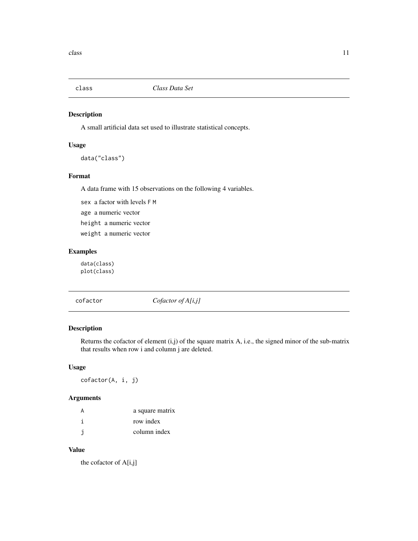<span id="page-10-0"></span>

A small artificial data set used to illustrate statistical concepts.

#### Usage

```
data("class")
```
# Format

A data frame with 15 observations on the following 4 variables.

sex a factor with levels F M age a numeric vector height a numeric vector weight a numeric vector

# Examples

data(class) plot(class)

<span id="page-10-1"></span>cofactor *Cofactor of A[i,j]*

# Description

Returns the cofactor of element (i,j) of the square matrix A, i.e., the signed minor of the sub-matrix that results when row i and column j are deleted.

# Usage

cofactor(A, i, j)

# Arguments

| А | a square matrix |
|---|-----------------|
|   | row index       |
|   | column index    |

# Value

the cofactor of A[i,j]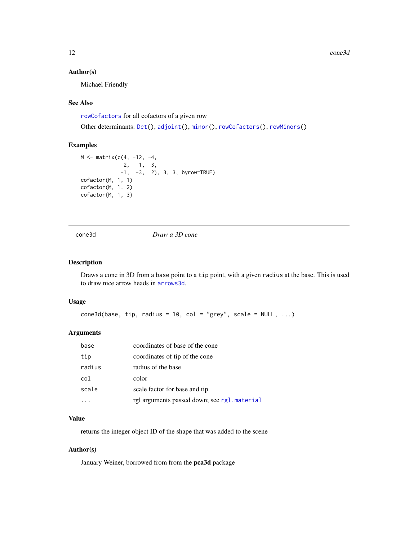<span id="page-11-0"></span>12 cone3d

#### Author(s)

Michael Friendly

#### See Also

[rowCofactors](#page-47-1) for all cofactors of a given row

Other determinants: [Det\(](#page-13-1)), [adjoint\(](#page-2-1)), [minor\(](#page-26-1)), [rowCofactors\(](#page-47-1)), [rowMinors\(](#page-48-1))

#### Examples

```
M <- matrix(c(4, -12, -4,
              2, 1, 3,
             -1, -3, 2), 3, 3, byrow=TRUE)
cofactor(M, 1, 1)
cofactor(M, 1, 2)
cofactor(M, 1, 3)
```
cone3d *Draw a 3D cone*

#### Description

Draws a cone in 3D from a base point to a tip point, with a given radius at the base. This is used to draw nice arrow heads in [arrows3d](#page-5-1).

#### Usage

 $cone3d(base, tip, radius = 10, col = "grey", scale = NULL, ...)$ 

# Arguments

| base   | coordinates of base of the cone             |
|--------|---------------------------------------------|
| tip    | coordinates of tip of the cone              |
| radius | radius of the base                          |
| col    | color                                       |
| scale  | scale factor for base and tip               |
|        | rgl arguments passed down; see rgl.material |

#### Value

returns the integer object ID of the shape that was added to the scene

# Author(s)

January Weiner, borrowed from from the pca3d package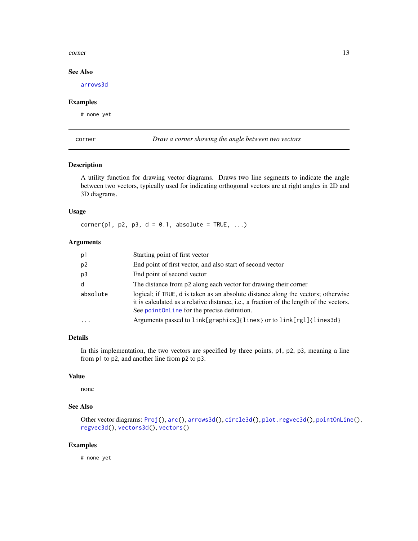#### <span id="page-12-0"></span>corner to the contract of the contract of the contract of the contract of the contract of the contract of the contract of the contract of the contract of the contract of the contract of the contract of the contract of the

# See Also

[arrows3d](#page-5-1)

#### Examples

# none yet

<span id="page-12-1"></span>corner *Draw a corner showing the angle between two vectors*

# Description

A utility function for drawing vector diagrams. Draws two line segments to indicate the angle between two vectors, typically used for indicating orthogonal vectors are at right angles in 2D and 3D diagrams.

# Usage

 $corner(p1, p2, p3, d = 0.1, absolute = TRUE, ...)$ 

# Arguments

| p1       | Starting point of first vector                                                                                                                                                                                              |
|----------|-----------------------------------------------------------------------------------------------------------------------------------------------------------------------------------------------------------------------------|
| p2       | End point of first vector, and also start of second vector                                                                                                                                                                  |
| p3       | End point of second vector                                                                                                                                                                                                  |
| d        | The distance from p2 along each vector for drawing their corner                                                                                                                                                             |
| absolute | logical; if TRUE, d is taken as an absolute distance along the vectors; otherwise<br>it is calculated as a relative distance, i.e., a fraction of the length of the vectors.<br>See point0nLine for the precise definition. |
| .        | Arguments passed to link[graphics]{lines} or to link[rgl]{lines3d}                                                                                                                                                          |

# Details

In this implementation, the two vectors are specified by three points, p1, p2, p3, meaning a line from p1 to p2, and another line from p2 to p3.

# Value

none

# See Also

```
Other vector diagrams: Proj(), arc(), arrows3d(), circle3d(), plot.regvec3d(), pointOnLine(),
regvec3d(), vectors3d(), vectors()
```
# Examples

# none yet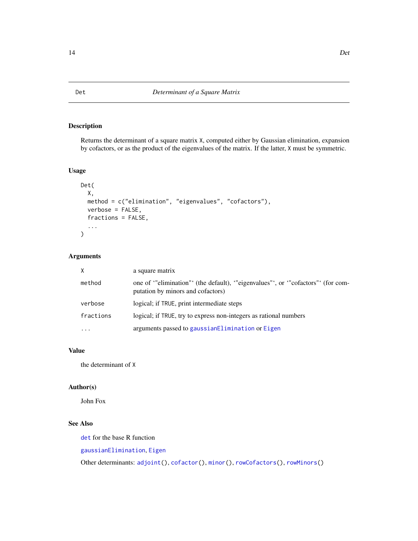<span id="page-13-1"></span><span id="page-13-0"></span>Returns the determinant of a square matrix X, computed either by Gaussian elimination, expansion by cofactors, or as the product of the eigenvalues of the matrix. If the latter, X must be symmetric.

#### Usage

```
Det(
  X,
  method = c("elimination", "eigenvalues", "cofactors"),
  verbose = FALSE,
  fractions = FALSE,
  ...
\mathcal{L}
```
# Arguments

| X         | a square matrix                                                                                                  |
|-----------|------------------------------------------------------------------------------------------------------------------|
| method    | one of "elimination" (the default), "eigenvalues", or "cofactors" (for com-<br>putation by minors and cofactors) |
| verbose   | logical; if TRUE, print intermediate steps                                                                       |
| fractions | logical; if TRUE, try to express non-integers as rational numbers                                                |
| .         | arguments passed to gaussian Elimination or Eigen                                                                |

# Value

the determinant of X

# Author(s)

John Fox

# See Also

[det](#page-0-0) for the base R function

[gaussianElimination](#page-16-1), [Eigen](#page-15-1)

Other determinants: [adjoint\(](#page-2-1)), [cofactor\(](#page-10-1)), [minor\(](#page-26-1)), [rowCofactors\(](#page-47-1)), [rowMinors\(](#page-48-1))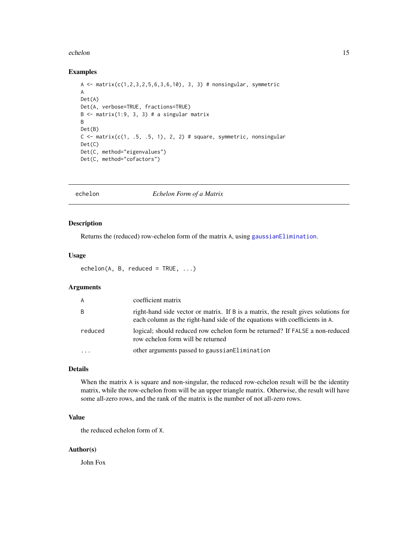#### <span id="page-14-0"></span>echelon and the contract of the contract of the contract of the contract of the contract of the contract of the contract of the contract of the contract of the contract of the contract of the contract of the contract of th

#### Examples

```
A <- matrix(c(1,2,3,2,5,6,3,6,10), 3, 3) # nonsingular, symmetric
A
Det(A)
Det(A, verbose=TRUE, fractions=TRUE)
B \le - matrix(1:9, 3, 3) # a singular matrix
B
Det(B)
C \leq - matrix(c(1, .5, .5, 1), 2, 2) # square, symmetric, nonsingular
Det(C)
Det(C, method="eigenvalues")
Det(C, method="cofactors")
```
<span id="page-14-1"></span>

echelon *Echelon Form of a Matrix*

#### Description

Returns the (reduced) row-echelon form of the matrix A, using [gaussianElimination](#page-16-1).

#### Usage

 $echelon(A, B, reduced = TRUE, ...)$ 

# Arguments

| $\mathsf{A}$ | coefficient matrix                                                                                                                                                |
|--------------|-------------------------------------------------------------------------------------------------------------------------------------------------------------------|
| B            | right-hand side vector or matrix. If B is a matrix, the result gives solutions for<br>each column as the right-hand side of the equations with coefficients in A. |
| reduced      | logical; should reduced row echelon form be returned? If FALSE a non-reduced<br>row echelon form will be returned                                                 |
|              | other arguments passed to gaussian Elimination                                                                                                                    |

# Details

When the matrix A is square and non-singular, the reduced row-echelon result will be the identity matrix, while the row-echelon from will be an upper triangle matrix. Otherwise, the result will have some all-zero rows, and the rank of the matrix is the number of not all-zero rows.

# Value

the reduced echelon form of X.

# Author(s)

John Fox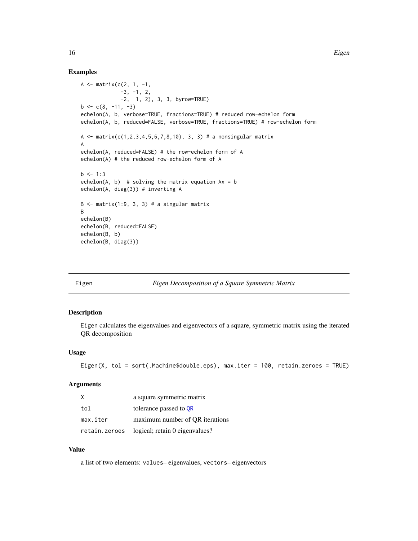#### Examples

```
A \leq matrix(c(2, 1, -1,
             -3, -1, 2,-2, 1, 2), 3, 3, byrow=TRUE)
b \leq -c(8, -11, -3)echelon(A, b, verbose=TRUE, fractions=TRUE) # reduced row-echelon form
echelon(A, b, reduced=FALSE, verbose=TRUE, fractions=TRUE) # row-echelon form
A <- matrix(c(1,2,3,4,5,6,7,8,10), 3, 3) # a nonsingular matrix
A
echelon(A, reduced=FALSE) # the row-echelon form of A
echelon(A) # the reduced row-echelon form of A
b \le -1:3echelon(A, b) # solving the matrix equation Ax = bechelon(A, diag(3)) # inverting A
B \le - matrix(1:9, 3, 3) # a singular matrix
B
echelon(B)
echelon(B, reduced=FALSE)
echelon(B, b)
echelon(B, diag(3))
```
<span id="page-15-1"></span>

#### Eigen *Eigen Decomposition of a Square Symmetric Matrix*

#### Description

Eigen calculates the eigenvalues and eigenvectors of a square, symmetric matrix using the iterated QR decomposition

#### Usage

```
Eigen(X, tol = sqrt(.Machine$double.eps), max.iter = 100, retain.zeroes = TRUE)
```
#### Arguments

| X             | a square symmetric matrix       |
|---------------|---------------------------------|
| tol           | tolerance passed to OR          |
| max.iter      | maximum number of OR iterations |
| retain.zeroes | logical; retain 0 eigenvalues?  |

# Value

a list of two elements: values– eigenvalues, vectors– eigenvectors

<span id="page-15-0"></span>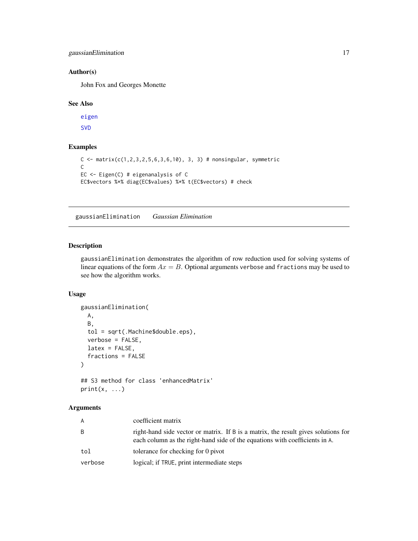<span id="page-16-0"></span>gaussianElimination 17

#### Author(s)

John Fox and Georges Monette

#### See Also

[eigen](#page-0-0) [SVD](#page-55-1)

# Examples

```
C \leq matrix(c(1,2,3,2,5,6,3,6,10), 3, 3) # nonsingular, symmetric
C
EC <- Eigen(C) # eigenanalysis of C
EC$vectors %*% diag(EC$values) %*% t(EC$vectors) # check
```
<span id="page-16-1"></span>gaussianElimination *Gaussian Elimination*

#### Description

gaussianElimination demonstrates the algorithm of row reduction used for solving systems of linear equations of the form  $Ax = B$ . Optional arguments verbose and fractions may be used to see how the algorithm works.

# Usage

```
gaussianElimination(
 A,
 B,
  tol = sqrt(.Machine$double.eps),
  verbose = FALSE,
 latex = FALSE,
  fractions = FALSE
\mathcal{L}## S3 method for class 'enhancedMatrix'
```

```
print(x, \ldots)
```
#### Arguments

| A       | coefficient matrix                                                                                                                                                |
|---------|-------------------------------------------------------------------------------------------------------------------------------------------------------------------|
| B       | right-hand side vector or matrix. If B is a matrix, the result gives solutions for<br>each column as the right-hand side of the equations with coefficients in A. |
| tol     | tolerance for checking for 0 pivot                                                                                                                                |
| verbose | logical; if TRUE, print intermediate steps                                                                                                                        |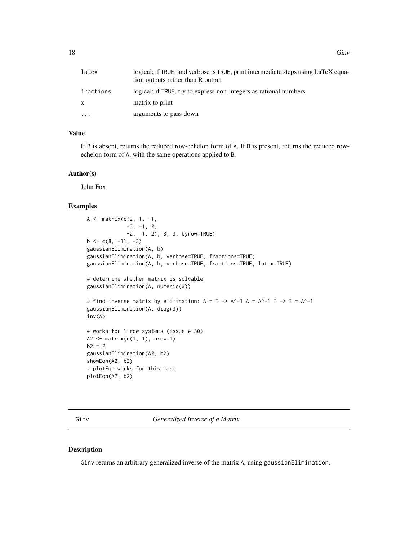<span id="page-17-0"></span>

| latex     | logical; if TRUE, and verbose is TRUE, print intermediate steps using LaTeX equa-<br>tion outputs rather than R output |
|-----------|------------------------------------------------------------------------------------------------------------------------|
| fractions | logical; if TRUE, try to express non-integers as rational numbers                                                      |
| X         | matrix to print                                                                                                        |
| .         | arguments to pass down                                                                                                 |

#### Value

If B is absent, returns the reduced row-echelon form of A. If B is present, returns the reduced rowechelon form of A, with the same operations applied to B.

#### Author(s)

John Fox

# Examples

```
A <- matrix(c(2, 1, -1,-3, -1, 2,-2, 1, 2), 3, 3, byrow=TRUE)
b \leq -c(8, -11, -3)gaussianElimination(A, b)
gaussianElimination(A, b, verbose=TRUE, fractions=TRUE)
gaussianElimination(A, b, verbose=TRUE, fractions=TRUE, latex=TRUE)
# determine whether matrix is solvable
gaussianElimination(A, numeric(3))
# find inverse matrix by elimination: A = I \rightarrow A^{\wedge}-1 A = A^{\wedge}-1 I \rightarrow I = A^{\wedge}-1gaussianElimination(A, diag(3))
inv(A)
# works for 1-row systems (issue # 30)
A2 \leq matrix(c(1, 1), nrow=1)
b2 = 2gaussianElimination(A2, b2)
showEqn(A2, b2)
# plotEqn works for this case
plotEqn(A2, b2)
```
<span id="page-17-1"></span>Ginv *Generalized Inverse of a Matrix*

#### Description

Ginv returns an arbitrary generalized inverse of the matrix A, using gaussianElimination.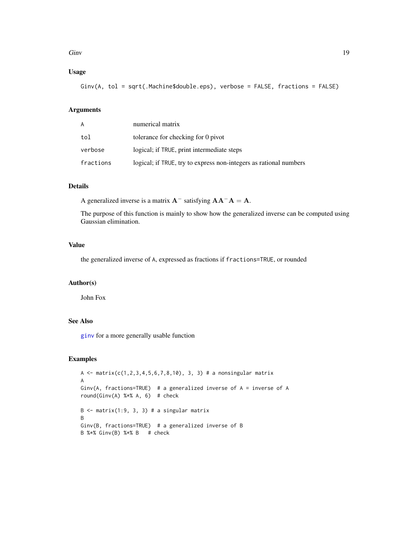#### <span id="page-18-0"></span>Ginv 19

# Usage

Ginv(A, tol = sqrt(.Machine\$double.eps), verbose = FALSE, fractions = FALSE)

# Arguments

| A         | numerical matrix                                                  |
|-----------|-------------------------------------------------------------------|
| tol       | tolerance for checking for 0 pivot                                |
| verbose   | logical; if TRUE, print intermediate steps                        |
| fractions | logical; if TRUE, try to express non-integers as rational numbers |

# Details

A generalized inverse is a matrix  $A^-$  satisfying  $AA^-A = A$ .

The purpose of this function is mainly to show how the generalized inverse can be computed using Gaussian elimination.

# Value

the generalized inverse of A, expressed as fractions if fractions=TRUE, or rounded

#### Author(s)

John Fox

# See Also

[ginv](#page-0-0) for a more generally usable function

```
A \le matrix(c(1,2,3,4,5,6,7,8,10), 3, 3) # a nonsingular matrix
A
Ginv(A, fractions=TRUE) # a generalized inverse of A = inverse of A
round(Ginv(A) %*% A, 6) # check
B \le - matrix(1:9, 3, 3) # a singular matrix
B
Ginv(B, fractions=TRUE) # a generalized inverse of B
B %*% Ginv(B) %*% B # check
```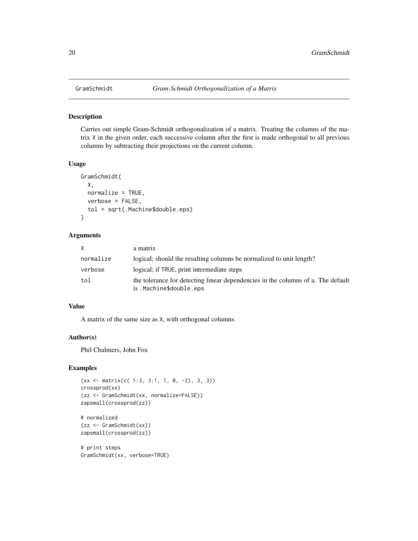<span id="page-19-1"></span><span id="page-19-0"></span>

Carries out simple Gram-Schmidt orthogonalization of a matrix. Treating the columns of the matrix X in the given order, each successive column after the first is made orthogonal to all previous columns by subtracting their projections on the current column.

#### Usage

```
GramSchmidt(
 X,
 normalize = TRUE,
 verbose = FALSE,
  tol = sqrt(.Machine$double.eps)
)
```
#### Arguments

| X         | a matrix                                                                                                    |
|-----------|-------------------------------------------------------------------------------------------------------------|
| normalize | logical; should the resulting columns be normalized to unit length?                                         |
| verbose   | logical; if TRUE, print intermediate steps                                                                  |
| tol       | the tolerance for detecting linear dependencies in the columns of a. The default<br>is .Machine\$double.eps |

#### Value

A matrix of the same size as X, with orthogonal columns

# Author(s)

Phil Chalmers, John Fox

# Examples

```
(xx \leq matrix(c( 1:3, 3:1, 1, 0, -2), 3, 3))crossprod(xx)
(zz <- GramSchmidt(xx, normalize=FALSE))
zapsmall(crossprod(zz))
# normalized
(zz <- GramSchmidt(xx))
zapsmall(crossprod(zz))
```
# print steps GramSchmidt(xx, verbose=TRUE)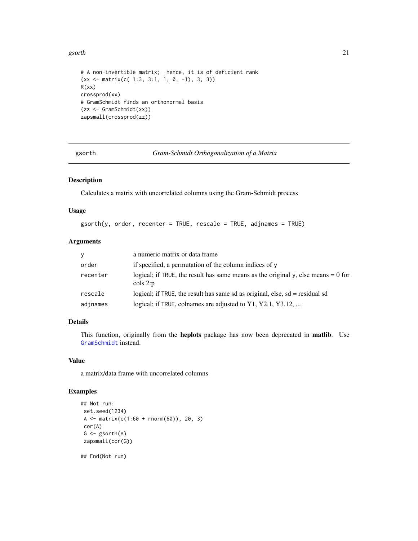#### <span id="page-20-0"></span>gsorth 21

```
# A non-invertible matrix; hence, it is of deficient rank
(xx \leq matrix(c( 1:3, 3:1, 1, 0, -1), 3, 3))R(xx)
crossprod(xx)
# GramSchmidt finds an orthonormal basis
(zz <- GramSchmidt(xx))
zapsmall(crossprod(zz))
```
<span id="page-20-1"></span>gsorth *Gram-Schmidt Orthogonalization of a Matrix*

# Description

Calculates a matrix with uncorrelated columns using the Gram-Schmidt process

#### Usage

 $gsorth(y, order, recenter = TRUE, rescale = TRUE, adinames = TRUE)$ 

# Arguments

| V        | a numeric matrix or data frame                                                                         |
|----------|--------------------------------------------------------------------------------------------------------|
| order    | if specified, a permutation of the column indices of y                                                 |
| recenter | logical; if TRUE, the result has same means as the original y, else means $= 0$ for<br>$\cosh 2$ : $p$ |
| rescale  | logical; if TRUE, the result has same sd as original, else, $sd =$ residual sd                         |
| adjnames | logical; if TRUE, colnames are adjusted to Y1, Y2.1, Y3.12,                                            |

# Details

This function, originally from the heplots package has now been deprecated in matlib. Use [GramSchmidt](#page-19-1) instead.

# Value

a matrix/data frame with uncorrelated columns

```
## Not run:
set.seed(1234)
A <- matrix(c(1:60 + rnorm(60)), 20, 3)cor(A)
G <- gsorth(A)
zapsmall(cor(G))
## End(Not run)
```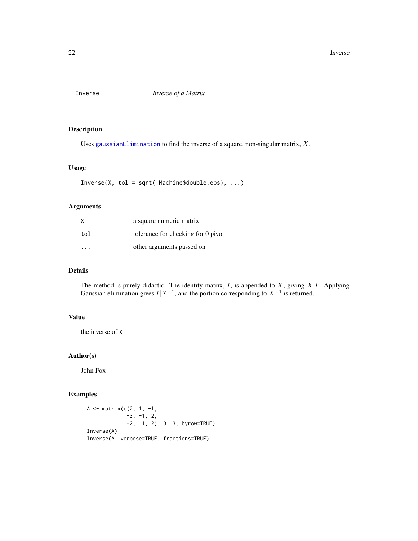<span id="page-21-2"></span><span id="page-21-1"></span><span id="page-21-0"></span>

Uses [gaussianElimination](#page-16-1) to find the inverse of a square, non-singular matrix,  $X$ .

#### Usage

Inverse(X, tol = sqrt(.Machine\$double.eps), ...)

# Arguments

| X   | a square numeric matrix            |
|-----|------------------------------------|
| tol | tolerance for checking for 0 pivot |
|     | other arguments passed on          |

# Details

The method is purely didactic: The identity matrix,  $I$ , is appended to  $X$ , giving  $X|I$ . Applying Gaussian elimination gives  $I|X^{-1}$ , and the portion corresponding to  $X^{-1}$  is returned.

### Value

the inverse of X

# Author(s)

John Fox

```
A <- matrix(c(2, 1, -1,
            -3, -1, 2,
            -2, 1, 2), 3, 3, byrow=TRUE)
Inverse(A)
Inverse(A, verbose=TRUE, fractions=TRUE)
```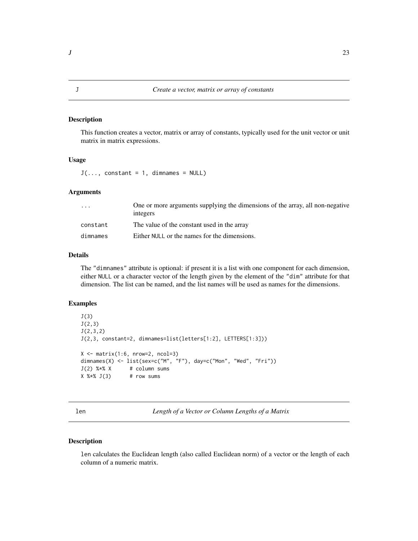<span id="page-22-2"></span><span id="page-22-0"></span>This function creates a vector, matrix or array of constants, typically used for the unit vector or unit matrix in matrix expressions.

# Usage

 $J(\ldots,$  constant = 1, dimnames = NULL)

# Arguments

| $\cdot$ $\cdot$ $\cdot$ | One or more arguments supplying the dimensions of the array, all non-negative<br>integers |
|-------------------------|-------------------------------------------------------------------------------------------|
| constant                | The value of the constant used in the array                                               |
| dimnames                | Either NULL or the names for the dimensions.                                              |

#### Details

The "dimnames" attribute is optional: if present it is a list with one component for each dimension, either NULL or a character vector of the length given by the element of the "dim" attribute for that dimension. The list can be named, and the list names will be used as names for the dimensions.

# Examples

```
J(3)
J(2,3)
J(2,3,2)
J(2,3, constant=2, dimnames=list(letters[1:2], LETTERS[1:3]))
X \leftarrow \text{matrix}(1:6, \text{nrow=2}, \text{ncol=3})dimnames(X) <- list(sex=c("M", "F"), day=c("Mon", "Wed", "Fri"))
J(2) %*% X # column sums
X %*% J(3) # row sums
```
<span id="page-22-1"></span>len *Length of a Vector or Column Lengths of a Matrix*

#### Description

len calculates the Euclidean length (also called Euclidean norm) of a vector or the length of each column of a numeric matrix.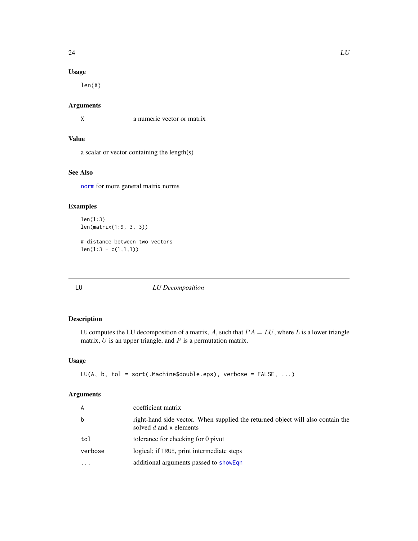# <span id="page-23-0"></span>Usage

len(X)

# Arguments

X a numeric vector or matrix

# Value

a scalar or vector containing the length(s)

# See Also

[norm](#page-0-0) for more general matrix norms

# Examples

len(1:3) len(matrix(1:9, 3, 3))

# distance between two vectors  $len(1:3 - c(1,1,1))$ 

<span id="page-23-1"></span>LU *LU Decomposition*

# Description

LU computes the LU decomposition of a matrix, A, such that  $PA = LU$ , where L is a lower triangle matrix,  $U$  is an upper triangle, and  $P$  is a permutation matrix.

# Usage

```
LU(A, b, tol = sqrt(.Machine$double.eps), verbose = FALSE, ...)
```
# Arguments

| A         | coefficient matrix                                                                                         |
|-----------|------------------------------------------------------------------------------------------------------------|
| b         | right-hand side vector. When supplied the returned object will also contain the<br>solved d and x elements |
| tol       | tolerance for checking for 0 pivot                                                                         |
| verbose   | logical; if TRUE, print intermediate steps                                                                 |
| $\ddotsc$ | additional arguments passed to showEqn                                                                     |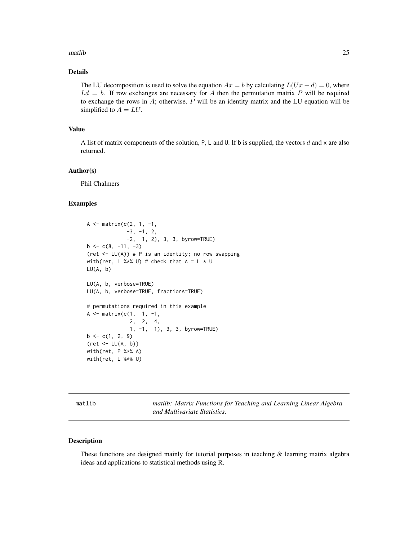#### <span id="page-24-0"></span> $m$ atlib  $25$

# Details

The LU decomposition is used to solve the equation  $Ax = b$  by calculating  $L(Ux - d) = 0$ , where  $L_d = b$ . If row exchanges are necessary for A then the permutation matrix P will be required to exchange the rows in  $A$ ; otherwise,  $P$  will be an identity matrix and the LU equation will be simplified to  $A = LU$ .

#### Value

A list of matrix components of the solution, P, L and U. If b is supplied, the vectors  $d$  and  $x$  are also returned.

#### Author(s)

Phil Chalmers

#### Examples

```
A \leftarrow matrix(c(2, 1, -1,
              -3, -1, 2,
              -2, 1, 2), 3, 3, byrow=TRUE)
b \leq c(8, -11, -3)(ret \leq LU(A)) # P is an identity; no row swapping
with(ret, L %*% U) # check that A = L * ULU(A, b)
LU(A, b, verbose=TRUE)
LU(A, b, verbose=TRUE, fractions=TRUE)
# permutations required in this example
A <- matrix(c(1, 1, -1,2, 2, 4,
              1, -1, 1), 3, 3, byrow=TRUE)
b \leftarrow c(1, 2, 9)(ret <- LU(A, b))
with(ret, P %*% A)
with(ret, L %*% U)
```
matlib *matlib: Matrix Functions for Teaching and Learning Linear Algebra and Multivariate Statistics.*

#### Description

These functions are designed mainly for tutorial purposes in teaching  $\&$  learning matrix algebra ideas and applications to statistical methods using R.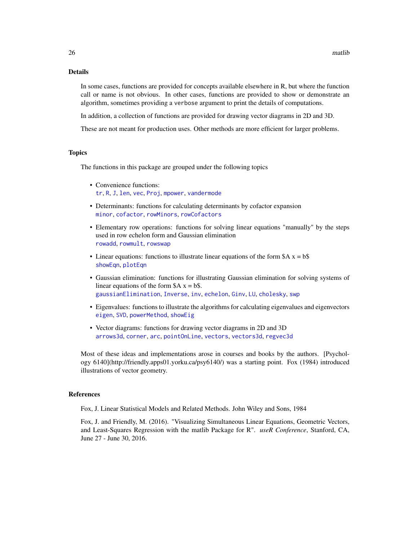# <span id="page-25-0"></span>Details

In some cases, functions are provided for concepts available elsewhere in R, but where the function call or name is not obvious. In other cases, functions are provided to show or demonstrate an algorithm, sometimes providing a verbose argument to print the details of computations.

In addition, a collection of functions are provided for drawing vector diagrams in 2D and 3D.

These are not meant for production uses. Other methods are more efficient for larger problems.

#### Topics

The functions in this package are grouped under the following topics

- Convenience functions: [tr](#page-60-1), [R](#page-42-1), [J](#page-22-2), [len](#page-22-1), [vec](#page-61-1), [Proj](#page-39-1), [mpower](#page-28-1), [vandermode](#page-61-2)
- Determinants: functions for calculating determinants by cofactor expansion [minor](#page-26-1), [cofactor](#page-10-1), [rowMinors](#page-48-1), [rowCofactors](#page-47-1)
- Elementary row operations: functions for solving linear equations "manually" by the steps used in row echelon form and Gaussian elimination [rowadd](#page-46-1), [rowmult](#page-49-1), [rowswap](#page-50-1)
- Linear equations: functions to illustrate linear equations of the form  $A x = b$ [showEqn](#page-51-1), [plotEqn](#page-31-1)
- Gaussian elimination: functions for illustrating Gaussian elimination for solving systems of linear equations of the form  $A x = b$ . [gaussianElimination](#page-16-1), [Inverse](#page-21-1), [inv](#page-21-2), [echelon](#page-14-1), [Ginv](#page-17-1), [LU](#page-23-1), [cholesky](#page-8-1), [swp](#page-57-1)
- Eigenvalues: functions to illustrate the algorithms for calculating eigenvalues and eigenvectors [eigen](#page-0-0), [SVD](#page-55-1), [powerMethod](#page-35-1), [showEig](#page-50-2)
- Vector diagrams: functions for drawing vector diagrams in 2D and 3D [arrows3d](#page-5-1), [corner](#page-12-1), [arc](#page-4-1), [pointOnLine](#page-34-1), [vectors](#page-62-1), [vectors3d](#page-64-1), [regvec3d](#page-43-1)

Most of these ideas and implementations arose in courses and books by the authors. [Psychology 6140](http://friendly.apps01.yorku.ca/psy6140/) was a starting point. Fox (1984) introduced illustrations of vector geometry.

#### References

Fox, J. Linear Statistical Models and Related Methods. John Wiley and Sons, 1984

Fox, J. and Friendly, M. (2016). "Visualizing Simultaneous Linear Equations, Geometric Vectors, and Least-Squares Regression with the matlib Package for R". *useR Conference*, Stanford, CA, June 27 - June 30, 2016.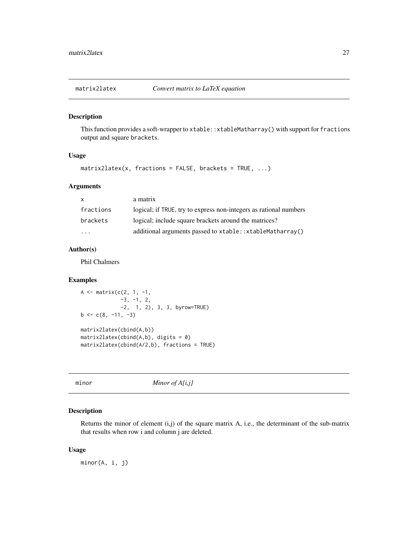<span id="page-26-0"></span>

This function provides a soft-wrapper to xtable: : xtableMatharray() with support for fractions output and square brackets.

#### Usage

matrix2latex(x, fractions = FALSE, brackets = TRUE, ...)

# Arguments

| X.        | a matrix                                                          |
|-----------|-------------------------------------------------------------------|
| fractions | logical; if TRUE, try to express non-integers as rational numbers |
| brackets  | logical; include square brackets around the matrices?             |
| .         | additional arguments passed to xtable::xtableMatharray()          |
|           |                                                                   |

# Author(s)

Phil Chalmers

# Examples

```
A <- matrix(c(2, 1, -1,-3, -1, 2,
             -2, 1, 2), 3, 3, byrow=TRUE)
b \leftarrow c(8, -11, -3)matrix2latex(cbind(A,b))
matrix2latex(cbind(A,b), digits = 0)
matrix2latex(cbind(A/2,b), fractions = TRUE)
```
<span id="page-26-1"></span>

```
minor Minor of A[i,j]
```
#### Description

Returns the minor of element (i,j) of the square matrix A, i.e., the determinant of the sub-matrix that results when row i and column j are deleted.

# Usage

minor(A, i, j)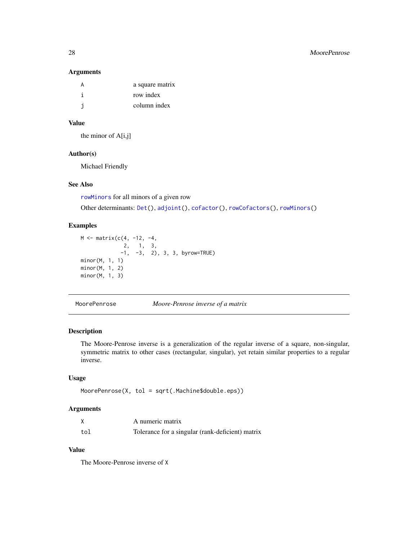#### Arguments

| a square matrix |
|-----------------|
| row index       |
| column index    |

# Value

the minor of A[i,j]

# Author(s)

Michael Friendly

# See Also

[rowMinors](#page-48-1) for all minors of a given row

Other determinants: [Det\(](#page-13-1)), [adjoint\(](#page-2-1)), [cofactor\(](#page-10-1)), [rowCofactors\(](#page-47-1)), [rowMinors\(](#page-48-1))

# Examples

```
M \leq - matrix(c(4, -12, -4,
              2, 1, 3,
             -1, -3, 2), 3, 3, byrow=TRUE)
minor(M, 1, 1)
minor(M, 1, 2)
minor(M, 1, 3)
```
MoorePenrose *Moore-Penrose inverse of a matrix*

# Description

The Moore-Penrose inverse is a generalization of the regular inverse of a square, non-singular, symmetric matrix to other cases (rectangular, singular), yet retain similar properties to a regular inverse.

#### Usage

MoorePenrose(X, tol = sqrt(.Machine\$double.eps))

# Arguments

|     | A numeric matrix                                 |
|-----|--------------------------------------------------|
| tol | Tolerance for a singular (rank-deficient) matrix |

# Value

The Moore-Penrose inverse of X

<span id="page-27-0"></span>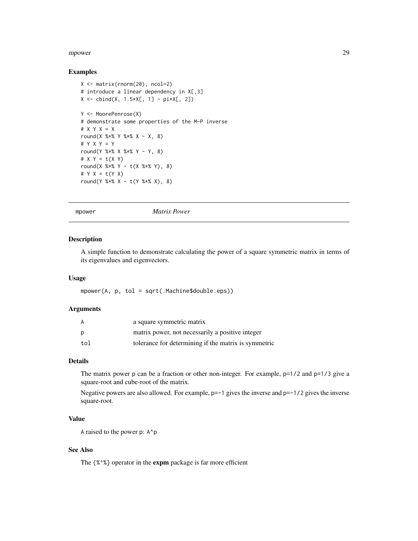#### <span id="page-28-0"></span>mpower 29

#### Examples

```
X <- matrix(rnorm(20), ncol=2)
# introduce a linear dependency in X[,3]
X \le - \text{cbind}(X, 1.5 \times X[, 1] - \text{pi} \times X[, 2])Y <- MoorePenrose(X)
# demonstrate some properties of the M-P inverse
# X Y X = X
round(X %x Y %x X - X, 8)
# Y X Y = Y
round(Y %*% X %*% Y - Y, 8)
# X Y = t(X Y)round(X %*% Y - t(X %*% Y), 8)
# Y X = t(Y X)
round(Y %*% X - t(Y %*% X), 8)
```
<span id="page-28-1"></span>

mpower *Matrix Power*

# Description

A simple function to demonstrate calculating the power of a square symmetric matrix in terms of its eigenvalues and eigenvectors.

# Usage

mpower(A, p, tol = sqrt(.Machine\$double.eps))

#### Arguments

| A   | a square symmetric matrix                            |
|-----|------------------------------------------------------|
| Ŋ   | matrix power, not necessarily a positive integer     |
| tol | tolerance for determining if the matrix is symmetric |

# Details

The matrix power p can be a fraction or other non-integer. For example, p=1/2 and p=1/3 give a square-root and cube-root of the matrix.

Negative powers are also allowed. For example, p=-1 gives the inverse and p=-1/2 gives the inverse square-root.

# Value

A raised to the power p: A^p

# See Also

The {%^%} operator in the **expm** package is far more efficient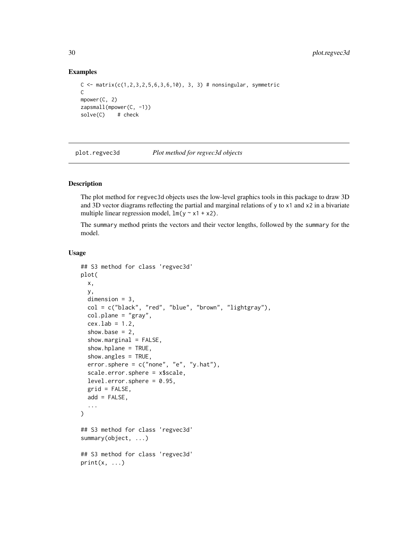#### Examples

```
C \leq - matrix(c(1, 2, 3, 2, 5, 6, 3, 6, 10), 3, 3) # nonsingular, symmetric
C
mpower(C, 2)
zapsmall(mpower(C, -1))
solve(C) # check
```
<span id="page-29-1"></span>plot.regvec3d *Plot method for regvec3d objects*

# **Description**

The plot method for regvec3d objects uses the low-level graphics tools in this package to draw 3D and 3D vector diagrams reflecting the partial and marginal relations of y to x1 and x2 in a bivariate multiple linear regression model,  $lm(y \sim x1 + x2)$ .

The summary method prints the vectors and their vector lengths, followed by the summary for the model.

#### Usage

```
## S3 method for class 'regvec3d'
plot(
  x,
  y,
  dimension = 3,
  col = c("black", "red", "blue", "brown", "lightgray"),
  col.plane = "gray",
  cex.lab = 1.2,
  show.base = 2,
  show.marginal = FALSE,
  show.hplane = TRUE,
  show.angles = TRUE,
  error.\,sphere = c("none", "e", "y.hat"),scale.error.sphere = x$scale,
  level_error.\,sphere = 0.95,grid = FALSE,add = FALSE,...
\lambda## S3 method for class 'regvec3d'
summary(object, ...)
## S3 method for class 'regvec3d'
print(x, \ldots)
```
<span id="page-29-0"></span>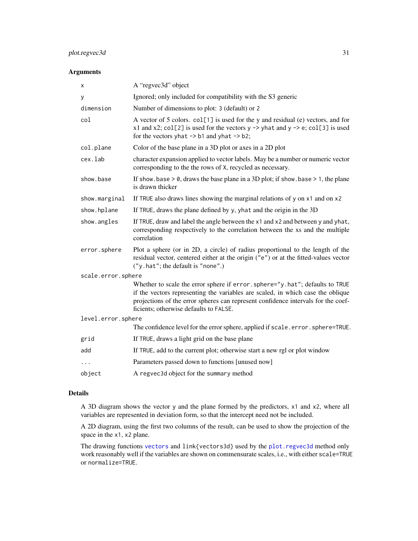# <span id="page-30-0"></span>plot.regvec3d 31

# Arguments

| х                  | A "regvec3d" object                                                                                                                                                                                                                                                                           |
|--------------------|-----------------------------------------------------------------------------------------------------------------------------------------------------------------------------------------------------------------------------------------------------------------------------------------------|
| y                  | Ignored; only included for compatibility with the S3 generic                                                                                                                                                                                                                                  |
| dimension          | Number of dimensions to plot: 3 (default) or 2                                                                                                                                                                                                                                                |
| col                | A vector of 5 colors. col[1] is used for the y and residual (e) vectors, and for<br>x1 and x2; col[2] is used for the vectors $y \rightarrow$ yhat and $y \rightarrow e$ ; col[3] is used<br>for the vectors yhat $\rightarrow$ b1 and yhat $\rightarrow$ b2;                                 |
| col.plane          | Color of the base plane in a 3D plot or axes in a 2D plot                                                                                                                                                                                                                                     |
| cex.lab            | character expansion applied to vector labels. May be a number or numeric vector<br>corresponding to the the rows of X, recycled as necessary.                                                                                                                                                 |
| show.base          | If show base $> 0$ , draws the base plane in a 3D plot; if show base $> 1$ , the plane<br>is drawn thicker                                                                                                                                                                                    |
| show.marginal      | If TRUE also draws lines showing the marginal relations of $y$ on $x1$ and on $x2$                                                                                                                                                                                                            |
| show.hplane        | If TRUE, draws the plane defined by y, yhat and the origin in the 3D                                                                                                                                                                                                                          |
| show.angles        | If TRUE, draw and label the angle between the x1 and x2 and between y and yhat,<br>corresponding respectively to the correlation between the xs and the multiple<br>correlation                                                                                                               |
| error.sphere       | Plot a sphere (or in 2D, a circle) of radius proportional to the length of the<br>residual vector, centered either at the origin ("e") or at the fitted-values vector<br>("y.hat"; the default is "none".)                                                                                    |
| scale.error.sphere |                                                                                                                                                                                                                                                                                               |
|                    | Whether to scale the error sphere if error.sphere="y.hat"; defaults to TRUE<br>if the vectors representing the variables are scaled, in which case the oblique<br>projections of the error spheres can represent confidence intervals for the coef-<br>ficients; otherwise defaults to FALSE. |
| level.error.sphere |                                                                                                                                                                                                                                                                                               |
|                    | The confidence level for the error sphere, applied if scale.error.sphere=TRUE.                                                                                                                                                                                                                |
| grid               | If TRUE, draws a light grid on the base plane                                                                                                                                                                                                                                                 |
| add                | If TRUE, add to the current plot; otherwise start a new rgl or plot window                                                                                                                                                                                                                    |
| .                  | Parameters passed down to functions [unused now]                                                                                                                                                                                                                                              |
| object             | A regvec3d object for the summary method                                                                                                                                                                                                                                                      |

#### Details

A 3D diagram shows the vector y and the plane formed by the predictors, x1 and x2, where all variables are represented in deviation form, so that the intercept need not be included.

A 2D diagram, using the first two columns of the result, can be used to show the projection of the space in the x1, x2 plane.

The drawing functions [vectors](#page-62-1) and link{vectors3d} used by the [plot.regvec3d](#page-29-1) method only work reasonably well if the variables are shown on commensurate scales, i.e., with either scale=TRUE or normalize=TRUE.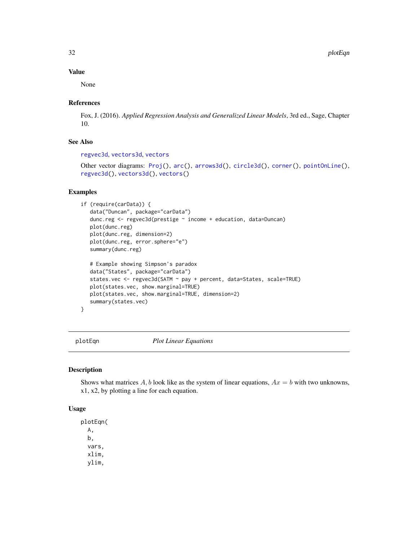32 plotEqn

#### Value

None

# References

Fox, J. (2016). *Applied Regression Analysis and Generalized Linear Models*, 3rd ed., Sage, Chapter 10.

# See Also

[regvec3d](#page-43-1), [vectors3d](#page-64-1), [vectors](#page-62-1)

```
Other vector diagrams: Proj(), arc(), arrows3d(), circle3d(), corner(), pointOnLine(),
regvec3d(), vectors3d(), vectors()
```
# Examples

```
if (require(carData)) {
  data("Duncan", package="carData")
  dunc.reg <- regvec3d(prestige ~ income + education, data=Duncan)
  plot(dunc.reg)
  plot(dunc.reg, dimension=2)
  plot(dunc.reg, error.sphere="e")
  summary(dunc.reg)
  # Example showing Simpson's paradox
  data("States", package="carData")
  states.vec <- regvec3d(SATM ~ pay + percent, data=States, scale=TRUE)
  plot(states.vec, show.marginal=TRUE)
  plot(states.vec, show.marginal=TRUE, dimension=2)
  summary(states.vec)
}
```
<span id="page-31-1"></span>

plotEqn *Plot Linear Equations*

#### Description

Shows what matrices  $A$ ,  $b$  look like as the system of linear equations,  $Ax = b$  with two unknowns, x1, x2, by plotting a line for each equation.

# Usage

plotEqn( A, b, vars, xlim, ylim,

<span id="page-31-0"></span>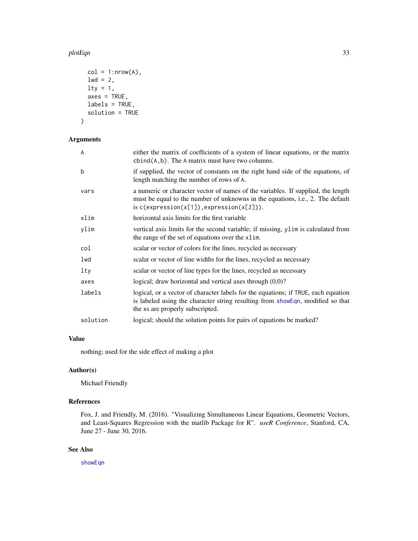#### <span id="page-32-0"></span>plotEqn 33

```
col = 1: nrow(A),
  1wd = 2,\frac{1}{y} = 1,axes = TRUE,labels = TRUE,
  solution = TRUE
)
```
# Arguments

| A        | either the matrix of coefficients of a system of linear equations, or the matrix<br>$cbind(A, b)$ . The A matrix must have two columns.                                                                                    |
|----------|----------------------------------------------------------------------------------------------------------------------------------------------------------------------------------------------------------------------------|
| b        | if supplied, the vector of constants on the right hand side of the equations, of<br>length matching the number of rows of A.                                                                                               |
| vars     | a numeric or character vector of names of the variables. If supplied, the length<br>must be equal to the number of unknowns in the equations, i.e., 2. The default<br>is $c$ (expression( $x[1]$ ), expression( $x[2]$ )). |
| xlim     | horizontal axis limits for the first variable                                                                                                                                                                              |
| ylim     | vertical axis limits for the second variable; if missing, ylim is calculated from<br>the range of the set of equations over the x1im.                                                                                      |
| col      | scalar or vector of colors for the lines, recycled as necessary                                                                                                                                                            |
| lwd      | scalar or vector of line widths for the lines, recycled as necessary                                                                                                                                                       |
| lty      | scalar or vector of line types for the lines, recycled as necessary                                                                                                                                                        |
| axes     | logical; draw horizontal and vertical axes through $(0,0)$ ?                                                                                                                                                               |
| labels   | logical, or a vector of character labels for the equations; if TRUE, each equation<br>is labeled using the character string resulting from showEqn, modified so that<br>the xs are properly subscripted.                   |
| solution | logical; should the solution points for pairs of equations be marked?                                                                                                                                                      |

# Value

nothing; used for the side effect of making a plot

# Author(s)

Michael Friendly

# References

Fox, J. and Friendly, M. (2016). "Visualizing Simultaneous Linear Equations, Geometric Vectors, and Least-Squares Regression with the matlib Package for R". *useR Conference*, Stanford, CA, June 27 - June 30, 2016.

# See Also

[showEqn](#page-51-1)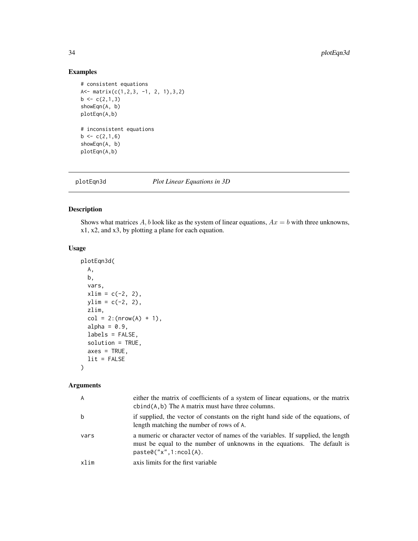# Examples

```
# consistent equations
A<- matrix(c(1,2,3, -1, 2, 1),3,2)
b \leftarrow c(2,1,3)showEqn(A, b)
plotEqn(A,b)
# inconsistent equations
b \leftarrow c(2,1,6)showEqn(A, b)
plotEqn(A,b)
```
<span id="page-33-1"></span>

plotEqn3d *Plot Linear Equations in 3D*

# Description

Shows what matrices  $A$ ,  $b$  look like as the system of linear equations,  $Ax = b$  with three unknowns, x1, x2, and x3, by plotting a plane for each equation.

# Usage

```
plotEqn3d(
 A,
 b,
 vars,
 xlim = c(-2, 2),ylim = c(-2, 2),zlim,
 col = 2: (nrow(A) + 1),alpha = 0.9,
 labels = FALSE,
  solution = TRUE,
 axes = TRUE,lit = FALSE)
```
### Arguments

| A    | either the matrix of coefficients of a system of linear equations, or the matrix<br>$cbind(A, b)$ The A matrix must have three columns.                                                 |
|------|-----------------------------------------------------------------------------------------------------------------------------------------------------------------------------------------|
| b    | if supplied, the vector of constants on the right hand side of the equations, of<br>length matching the number of rows of A.                                                            |
| vars | a numeric or character vector of names of the variables. If supplied, the length<br>must be equal to the number of unknowns in the equations. The default is<br>paste0('x", 1:ncol(A)). |
| xlim | axis limits for the first variable                                                                                                                                                      |

<span id="page-33-0"></span>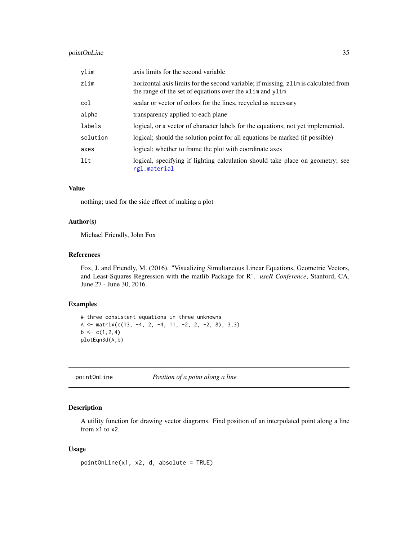# <span id="page-34-0"></span>pointOnLine 35

| ylim     | axis limits for the second variable                                                                                                             |
|----------|-------------------------------------------------------------------------------------------------------------------------------------------------|
| zlim     | horizontal axis limits for the second variable; if missing, zlim is calculated from<br>the range of the set of equations over the xlim and ylim |
| col      | scalar or vector of colors for the lines, recycled as necessary                                                                                 |
| alpha    | transparency applied to each plane                                                                                                              |
| labels   | logical, or a vector of character labels for the equations; not yet implemented.                                                                |
| solution | logical; should the solution point for all equations be marked (if possible)                                                                    |
| axes     | logical; whether to frame the plot with coordinate axes                                                                                         |
| lit      | logical, specifying if lighting calculation should take place on geometry; see<br>rgl.material                                                  |

# Value

nothing; used for the side effect of making a plot

# Author(s)

Michael Friendly, John Fox

#### References

Fox, J. and Friendly, M. (2016). "Visualizing Simultaneous Linear Equations, Geometric Vectors, and Least-Squares Regression with the matlib Package for R". *useR Conference*, Stanford, CA, June 27 - June 30, 2016.

# Examples

```
# three consistent equations in three unknowns
A \le matrix(c(13, -4, 2, -4, 11, -2, 2, -2, 8), 3,3)
b \leftarrow c(1, 2, 4)plotEqn3d(A,b)
```
<span id="page-34-1"></span>pointOnLine *Position of a point along a line*

# Description

A utility function for drawing vector diagrams. Find position of an interpolated point along a line from x1 to x2.

#### Usage

```
pointOnLine(x1, x2, d, absolute = TRUE)
```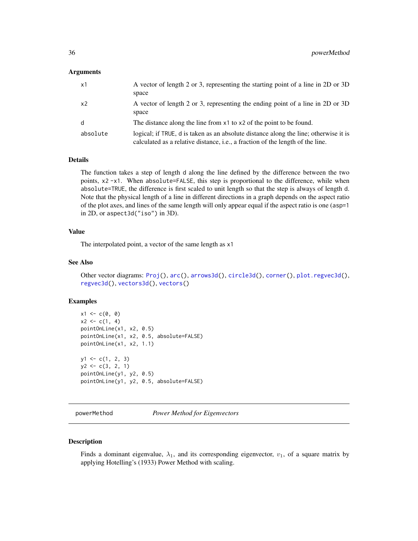# <span id="page-35-0"></span>Arguments

| x1             | A vector of length 2 or 3, representing the starting point of a line in 2D or 3D<br>space                                                                                      |
|----------------|--------------------------------------------------------------------------------------------------------------------------------------------------------------------------------|
| x <sub>2</sub> | A vector of length 2 or 3, representing the ending point of a line in 2D or 3D<br>space                                                                                        |
| d              | The distance along the line from x1 to x2 of the point to be found.                                                                                                            |
| absolute       | logical; if TRUE, d is taken as an absolute distance along the line; otherwise it is<br>calculated as a relative distance, <i>i.e.</i> , a fraction of the length of the line. |

#### Details

The function takes a step of length d along the line defined by the difference between the two points, x2 -x1. When absolute=FALSE, this step is proportional to the difference, while when absolute=TRUE, the difference is first scaled to unit length so that the step is always of length d. Note that the physical length of a line in different directions in a graph depends on the aspect ratio of the plot axes, and lines of the same length will only appear equal if the aspect ratio is one (asp=1 in 2D, or aspect3d("iso") in 3D).

#### Value

The interpolated point, a vector of the same length as x1

# See Also

```
Other vector diagrams: Proj(), arc(), arrows3d(), circle3d(), corner(), plot.regvec3d(),
regvec3d(), vectors3d(), vectors()
```
#### Examples

```
x1 \leftarrow c(0, 0)x2 \leq -c(1, 4)pointOnLine(x1, x2, 0.5)
pointOnLine(x1, x2, 0.5, absolute=FALSE)
pointOnLine(x1, x2, 1.1)
y1 \leftarrow c(1, 2, 3)y2 \leftarrow c(3, 2, 1)pointOnLine(y1, y2, 0.5)
pointOnLine(y1, y2, 0.5, absolute=FALSE)
```
<span id="page-35-1"></span>powerMethod *Power Method for Eigenvectors*

#### Description

Finds a dominant eigenvalue,  $\lambda_1$ , and its corresponding eigenvector,  $v_1$ , of a square matrix by applying Hotelling's (1933) Power Method with scaling.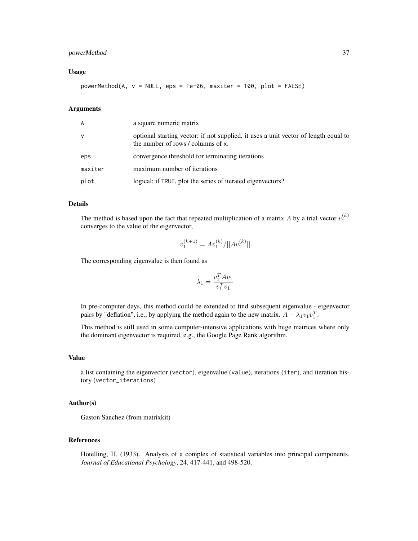# powerMethod 37

#### Usage

 $powerMethod(A, v = NULL, eps = 1e-06, maxiter = 100, plot = FALSE)$ 

# Arguments

| A            | a square numeric matrix                                                                                                   |
|--------------|---------------------------------------------------------------------------------------------------------------------------|
| $\mathsf{V}$ | optional starting vector; if not supplied, it uses a unit vector of length equal to<br>the number of rows / columns of x. |
| eps          | convergence threshold for terminating iterations                                                                          |
| maxiter      | maximum number of iterations                                                                                              |
| plot         | logical; if TRUE, plot the series of iterated eigenvectors?                                                               |

#### Details

The method is based upon the fact that repeated multiplication of a matrix A by a trial vector  $v_1^{(k)}$ converges to the value of the eigenvector,

$$
v_1^{(k+1)} = Av_1^{(k)}/||Av_1^{(k)}||
$$

The corresponding eigenvalue is then found as

$$
\lambda_1=\frac{v_1^TAv_1}{v_1^Tv_1}
$$

In pre-computer days, this method could be extended to find subsequent eigenvalue - eigenvector pairs by "deflation", i.e., by applying the method again to the new matrix.  $A - \lambda_1 v_1 v_1^T$ .

This method is still used in some computer-intensive applications with huge matrices where only the dominant eigenvector is required, e.g., the Google Page Rank algorithm.

#### Value

a list containing the eigenvector (vector), eigenvalue (value), iterations (iter), and iteration history (vector\_iterations)

#### Author(s)

Gaston Sanchez (from matrixkit)

#### References

Hotelling, H. (1933). Analysis of a complex of statistical variables into principal components. *Journal of Educational Psychology*, 24, 417-441, and 498-520.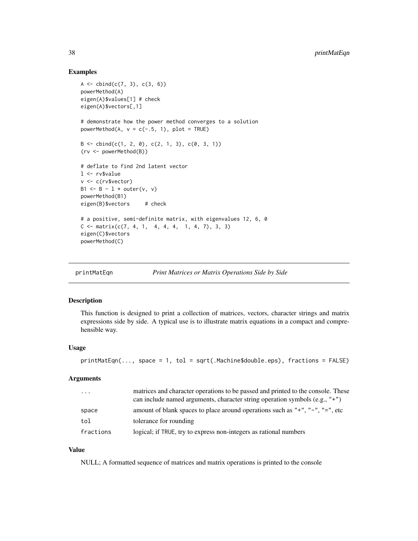# Examples

```
A \leftarrow cbind(c(7, 3), c(3, 6))
powerMethod(A)
eigen(A)$values[1] # check
eigen(A)$vectors[,1]
# demonstrate how the power method converges to a solution
powerMethod(A, v = c(-.5, 1), plot = TRUE)
B \le - \text{cbind}(c(1, 2, 0), c(2, 1, 3), c(0, 3, 1))(rv <- powerMethod(B))
# deflate to find 2nd latent vector
l <- rv$value
v <- c(rv$vector)
B1 \leq B - 1 \star outer(v, v)
powerMethod(B1)
eigen(B)$vectors # check
# a positive, semi-definite matrix, with eigenvalues 12, 6, 0
C \leq - matrix(c(7, 4, 1, 4, 4, 4, 1, 4, 7), 3, 3)
eigen(C)$vectors
powerMethod(C)
```

```
printMatEqn Print Matrices or Matrix Operations Side by Side
```
### Description

This function is designed to print a collection of matrices, vectors, character strings and matrix expressions side by side. A typical use is to illustrate matrix equations in a compact and comprehensible way.

#### Usage

```
printMatEqn(..., space = 1, tol = sqrt(.Machine$double.eps), fractions = FALSE)
```
#### Arguments

| $\cdots$  | matrices and character operations to be passed and printed to the console. These<br>can include named arguments, character string operation symbols (e.g., $"+"$ ) |
|-----------|--------------------------------------------------------------------------------------------------------------------------------------------------------------------|
| space     | amount of blank spaces to place around operations such as " $+$ ", " $-$ ", " $=$ ", etc                                                                           |
| tol       | tolerance for rounding                                                                                                                                             |
| fractions | logical; if TRUE, try to express non-integers as rational numbers                                                                                                  |

#### Value

NULL; A formatted sequence of matrices and matrix operations is printed to the console

<span id="page-37-0"></span>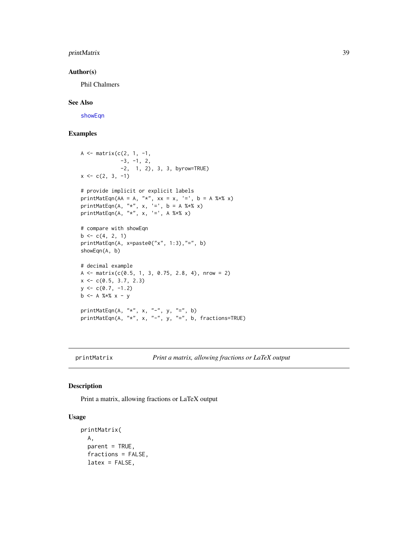# <span id="page-38-0"></span>printMatrix 39

# Author(s)

Phil Chalmers

#### See Also

[showEqn](#page-51-1)

# Examples

```
A \leq matrix(c(2, 1, -1,
             -3, -1, 2,-2, 1, 2), 3, 3, byrow=TRUE)
x \leftarrow c(2, 3, -1)# provide implicit or explicit labels
printMatEqn(AA = A, "*", xx = x, '=', b = A %*% x)
printMatEqn(A, "*", x, '=', b = A %*% x)
printMatEqn(A, "*", x, '=', A %*% x)
# compare with showEqn
b \leq c(4, 2, 1)printMatEqn(A, x=paste0("x", 1:3),"=", b)
showEqn(A, b)
# decimal example
A \leq matrix(c(0.5, 1, 3, 0.75, 2.8, 4), nrow = 2)
x \leq -c(0.5, 3.7, 2.3)y \leq c(0.7, -1.2)b \leq A \ % * \ x - y
printMatEqn(A, "*", x, "-", y, "=", b)
printMatEqn(A, "*", x, "-", y, "=", b, fractions=TRUE)
```
printMatrix *Print a matrix, allowing fractions or LaTeX output*

#### Description

Print a matrix, allowing fractions or LaTeX output

# Usage

```
printMatrix(
 A,
 parent = TRUE,
 fractions = FALSE,
 latex = FALSE,
```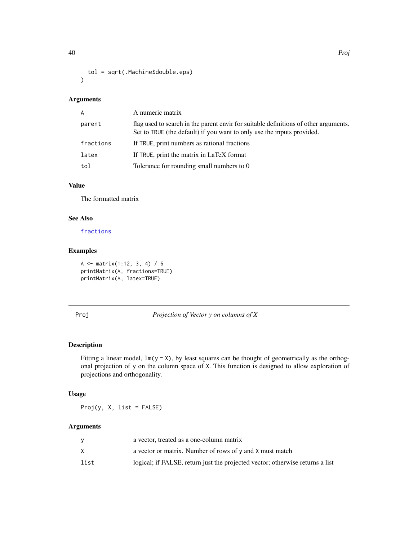```
tol = sqrt(.Machine$double.eps)
\mathcal{L}
```
#### Arguments

| A         | A numeric matrix                                                                                                                                               |
|-----------|----------------------------------------------------------------------------------------------------------------------------------------------------------------|
| parent    | flag used to search in the parent envir for suitable definitions of other arguments.<br>Set to TRUE (the default) if you want to only use the inputs provided. |
| fractions | If TRUE, print numbers as rational fractions                                                                                                                   |
| latex     | If TRUE, print the matrix in LaTeX format                                                                                                                      |
| tol       | Tolerance for rounding small numbers to 0                                                                                                                      |
|           |                                                                                                                                                                |

# Value

The formatted matrix

# See Also

[fractions](#page-0-0)

# Examples

```
A \leftarrow matrix(1:12, 3, 4) / 6
printMatrix(A, fractions=TRUE)
printMatrix(A, latex=TRUE)
```
<span id="page-39-1"></span>Proj *Projection of Vector y on columns of X*

# Description

Fitting a linear model,  $lm(y \sim X)$ , by least squares can be thought of geometrically as the orthogonal projection of y on the column space of X. This function is designed to allow exploration of projections and orthogonality.

# Usage

 $Proj(y, X, list = FALSE)$ 

# Arguments

|      | a vector, treated as a one-column matrix                                      |
|------|-------------------------------------------------------------------------------|
|      | a vector or matrix. Number of rows of y and X must match                      |
| list | logical; if FALSE, return just the projected vector; otherwise returns a list |

<span id="page-39-0"></span>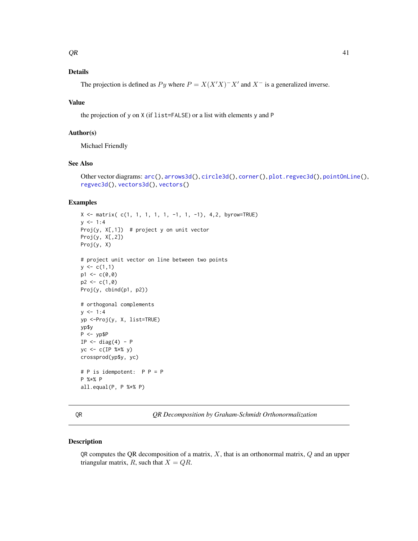# <span id="page-40-0"></span>Details

The projection is defined as  $Py$  where  $P = X(X'X)^{-}X'$  and  $X^{-}$  is a generalized inverse.

#### Value

the projection of y on X (if list=FALSE) or a list with elements y and P

#### Author(s)

Michael Friendly

#### See Also

```
Other vector diagrams: arc(), arrows3d(), circle3d(), corner(), plot.regvec3d(), pointOnLine(),
regvec3d(), vectors3d(), vectors()
```
# Examples

```
X \le matrix( c(1, 1, 1, 1, 1, -1, 1, -1), 4,2, byrow=TRUE)
y \le -1:4Proj(y, X[,1]) # project y on unit vector
Proj(y, X[, 2])Proj(y, X)
# project unit vector on line between two points
y \leftarrow c(1,1)p1 \leftarrow c(0, 0)p2 < -c(1, 0)Proj(y, cbind(p1, p2))
# orthogonal complements
y \le -1:4yp <-Proj(y, X, list=TRUE)
yp$y
P <- yp$P
IP \leftarrow diag(4) - Pyc <- c(IP %*% y)
crossprod(yp$y, yc)
# P is idempotent: P P = P
P %*% P
all.equal(P, P %*% P)
```
<span id="page-40-1"></span>QR *QR Decomposition by Graham-Schmidt Orthonormalization*

#### Description

QR computes the QR decomposition of a matrix,  $X$ , that is an orthonormal matrix,  $Q$  and an upper triangular matrix, R, such that  $X = QR$ .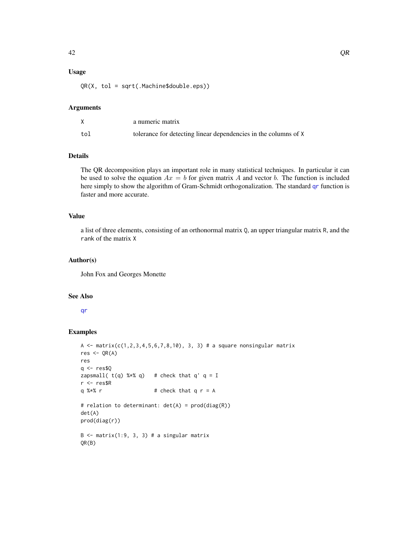# <span id="page-41-0"></span>Usage

QR(X, tol = sqrt(.Machine\$double.eps))

#### Arguments

|     | a numeric matrix                                                |
|-----|-----------------------------------------------------------------|
| tol | tolerance for detecting linear dependencies in the columns of X |

# Details

The QR decomposition plays an important role in many statistical techniques. In particular it can be used to solve the equation  $Ax = b$  for given matrix A and vector b. The function is included here simply to show the algorithm of Gram-Schmidt orthogonalization. The standard [qr](#page-0-0) function is faster and more accurate.

#### Value

a list of three elements, consisting of an orthonormal matrix Q, an upper triangular matrix R, and the rank of the matrix X

#### Author(s)

John Fox and Georges Monette

#### See Also

#### [qr](#page-0-0)

```
A <- matrix(c(1, 2, 3, 4, 5, 6, 7, 8, 10), 3, 3) # a square nonsingular matrix
res < -QR(A)res
q <- res$Q
zapsmall(t(q) %*% q) # check that q' q = I
r <- res$R
q %* r * + check that q r = A
# relation to determinant: det(A) = prod(diag(R))
det(A)
prod(diag(r))
B \le - matrix(1:9, 3, 3) # a singular matrix
QR(B)
```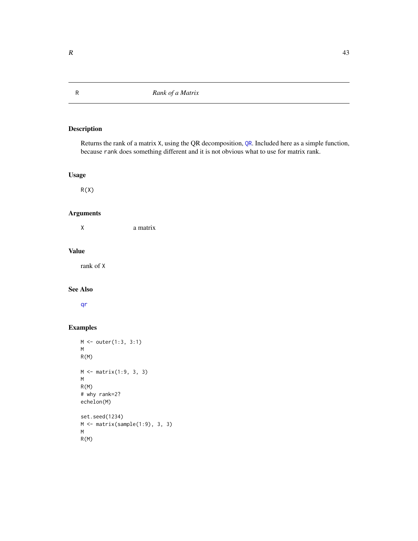Returns the rank of a matrix X, using the [QR](#page-40-1) decomposition, QR. Included here as a simple function, because rank does something different and it is not obvious what to use for matrix rank.

# Usage

 $R(X)$ 

# Arguments

X a matrix

#### Value

rank of X

# See Also

[qr](#page-0-0)

```
M <- outer(1:3, 3:1)
M
R(M)
M <- matrix(1:9, 3, 3)
M
R(M)
# why rank=2?
echelon(M)
set.seed(1234)
M <- matrix(sample(1:9), 3, 3)
M
R(M)
```
<span id="page-42-1"></span><span id="page-42-0"></span>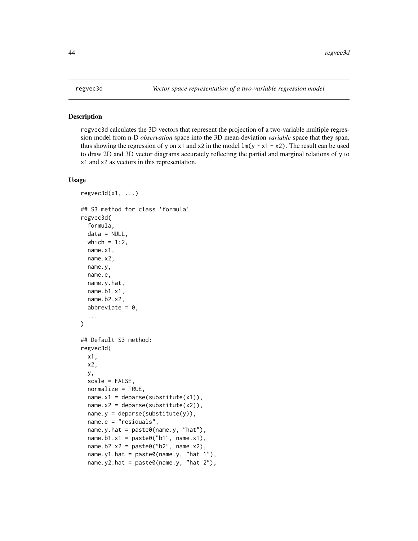regvec3d calculates the 3D vectors that represent the projection of a two-variable multiple regression model from n-D *observation* space into the 3D mean-deviation *variable* space that they span, thus showing the regression of y on x1 and x2 in the model  $lm(y \sim x1 + x2)$ . The result can be used to draw 2D and 3D vector diagrams accurately reflecting the partial and marginal relations of y to x1 and x2 as vectors in this representation.

# Usage

```
regyec3d(x1, \ldots)## S3 method for class 'formula'
regvec3d(
  formula,
  data = NULL,which = 1:2,
 name.x1,
 name.x2,
  name.y,
  name.e,
 name.y.hat,
 name.b1.x1,
  name.b2.x2,
  abbreviate = 0,
  ...
\mathcal{E}## Default S3 method:
regvec3d(
  x1,
  x2,
 y,
  scale = FALSE,
  normalize = TRUE,name.x1 = deparse(substitute(x1)),name.x2 = deparse(substitute(x2)),name.y = deparse(substitute(y)),name.e = "residuals",
  name.y.hat = paste0(name.y, "hat"),
  name.b1.x1 = past@("b1", name.x1),name.b2.x2 = paste0("b2", name.x2),name.y1.hat = paste0(name.y, "hat 1"),
  name.y2.hat = paste0(name.y, "hat 2"),
```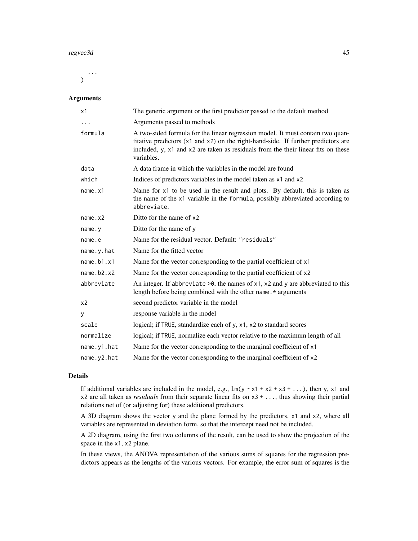#### regvec3d 45

... )

# Arguments

| x1             | The generic argument or the first predictor passed to the default method                                                                                                                                                                                               |
|----------------|------------------------------------------------------------------------------------------------------------------------------------------------------------------------------------------------------------------------------------------------------------------------|
| .              | Arguments passed to methods                                                                                                                                                                                                                                            |
| formula        | A two-sided formula for the linear regression model. It must contain two quan-<br>titative predictors (x1 and x2) on the right-hand-side. If further predictors are<br>included, y, x1 and x2 are taken as residuals from the their linear fits on these<br>variables. |
| data           | A data frame in which the variables in the model are found                                                                                                                                                                                                             |
| which          | Indices of predictors variables in the model taken as x1 and x2                                                                                                                                                                                                        |
| name.x1        | Name for x1 to be used in the result and plots. By default, this is taken as<br>the name of the x1 variable in the formula, possibly abbreviated according to<br>abbreviate.                                                                                           |
| name.x2        | Ditto for the name of x2                                                                                                                                                                                                                                               |
| name.y         | Ditto for the name of y                                                                                                                                                                                                                                                |
| name.e         | Name for the residual vector. Default: "residuals"                                                                                                                                                                                                                     |
| name.y.hat     | Name for the fitted vector                                                                                                                                                                                                                                             |
| name.b1.x1     | Name for the vector corresponding to the partial coefficient of x1                                                                                                                                                                                                     |
| name.b2.x2     | Name for the vector corresponding to the partial coefficient of x2                                                                                                                                                                                                     |
| abbreviate     | An integer. If abbreviate $>0$ , the names of x1, x2 and y are abbreviated to this<br>length before being combined with the other name. * arguments                                                                                                                    |
| x <sub>2</sub> | second predictor variable in the model                                                                                                                                                                                                                                 |
| У              | response variable in the model                                                                                                                                                                                                                                         |
| scale          | logical; if TRUE, standardize each of y, x1, x2 to standard scores                                                                                                                                                                                                     |
| normalize      | logical; if TRUE, normalize each vector relative to the maximum length of all                                                                                                                                                                                          |
| name.y1.hat    | Name for the vector corresponding to the marginal coefficient of x1                                                                                                                                                                                                    |
| name.y2.hat    | Name for the vector corresponding to the marginal coefficient of x2                                                                                                                                                                                                    |

# Details

If additional variables are included in the model, e.g.,  $\ln(y \sim x1 + x2 + x3 + ...)$ , then y, x1 and x2 are all taken as *residuals* from their separate linear fits on x3 + ..., thus showing their partial relations net of (or adjusting for) these additional predictors.

A 3D diagram shows the vector y and the plane formed by the predictors, x1 and x2, where all variables are represented in deviation form, so that the intercept need not be included.

A 2D diagram, using the first two columns of the result, can be used to show the projection of the space in the x1, x2 plane.

In these views, the ANOVA representation of the various sums of squares for the regression predictors appears as the lengths of the various vectors. For example, the error sum of squares is the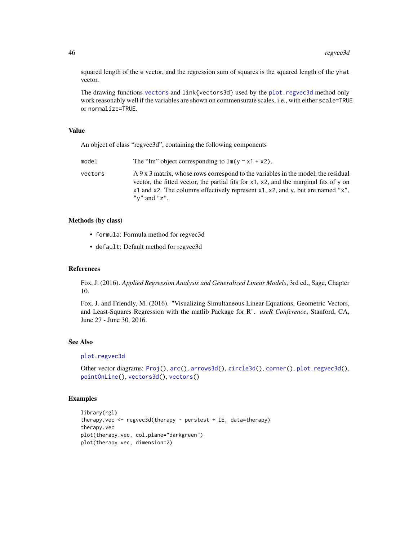squared length of the e vector, and the regression sum of squares is the squared length of the yhat vector.

The drawing functions [vectors](#page-62-1) and link{vectors3d} used by the [plot.regvec3d](#page-29-1) method only work reasonably well if the variables are shown on commensurate scales, i.e., with either scale=TRUE or normalize=TRUE.

# Value

An object of class "regvec3d", containing the following components

| model   | The "lm" object corresponding to $lm(y \sim x1 + x2)$ .                                                                                                                                                                                                                                      |
|---------|----------------------------------------------------------------------------------------------------------------------------------------------------------------------------------------------------------------------------------------------------------------------------------------------|
| vectors | A 9 x 3 matrix, whose rows correspond to the variables in the model, the residual<br>vector, the fitted vector, the partial fits for $x1$ , $x2$ , and the marginal fits of y on<br>$x1$ and x2. The columns effectively represent x1, x2, and y, but are named "x".<br>" $v$ " and " $z$ ". |

#### Methods (by class)

- formula: Formula method for regvec3d
- default: Default method for regvec3d

#### References

Fox, J. (2016). *Applied Regression Analysis and Generalized Linear Models*, 3rd ed., Sage, Chapter 10.

Fox, J. and Friendly, M. (2016). "Visualizing Simultaneous Linear Equations, Geometric Vectors, and Least-Squares Regression with the matlib Package for R". *useR Conference*, Stanford, CA, June 27 - June 30, 2016.

#### See Also

```
plot.regvec3d
```

```
Other vector diagrams: Proj(), arc(), arrows3d(), circle3d(), corner(), plot.regvec3d(),
pointOnLine(), vectors3d(), vectors()
```

```
library(rgl)
therapy.vec <- regvec3d(therapy ~ perstest + IE, data=therapy)
therapy.vec
plot(therapy.vec, col.plane="darkgreen")
plot(therapy.vec, dimension=2)
```
<span id="page-45-0"></span>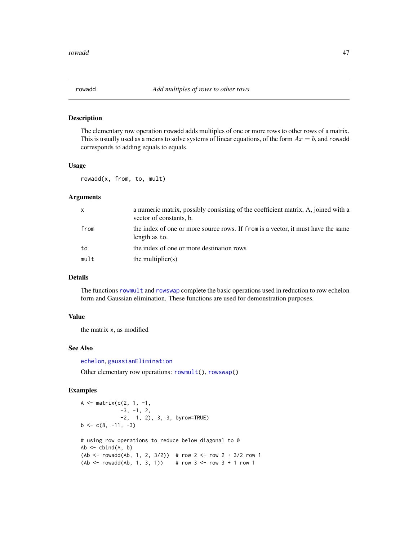<span id="page-46-1"></span><span id="page-46-0"></span>

The elementary row operation rowadd adds multiples of one or more rows to other rows of a matrix. This is usually used as a means to solve systems of linear equations, of the form  $Ax = b$ , and rowadd corresponds to adding equals to equals.

#### Usage

rowadd(x, from, to, mult)

# Arguments

| X    | a numeric matrix, possibly consisting of the coefficient matrix, A, joined with a<br>vector of constants, b. |
|------|--------------------------------------------------------------------------------------------------------------|
| from | the index of one or more source rows. If from is a vector, it must have the same<br>length as to.            |
| to   | the index of one or more destination rows                                                                    |
| mult | the multiplier $(s)$                                                                                         |

# Details

The functions [rowmult](#page-49-1) and [rowswap](#page-50-1) complete the basic operations used in reduction to row echelon form and Gaussian elimination. These functions are used for demonstration purposes.

#### Value

the matrix x, as modified

#### See Also

[echelon](#page-14-1), [gaussianElimination](#page-16-1)

Other elementary row operations: [rowmult\(](#page-49-1)), [rowswap\(](#page-50-1))

```
A \leq - matrix(c(2, 1, -1,
             -3, -1, 2,-2, 1, 2), 3, 3, byrow=TRUE)
b \leq c(8, -11, -3)# using row operations to reduce below diagonal to 0
Ab \leftarrow \text{cbind}(A, b)(Ab < - rowadd(Ab, 1, 2, 3/2)) # row 2 <- row 2 + 3/2 row 1
(Ab < - rowadd(Ab, 1, 3, 1)) # row 3 < - row 3 + 1 row 1
```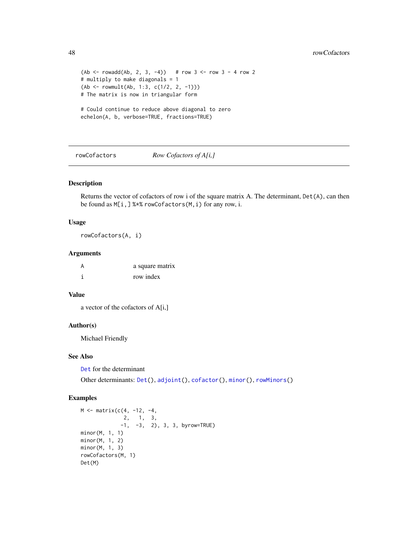```
(Ab < - rowadd(Ab, 2, 3, -4) # row 3 <- row 3 - 4 row 2
# multiply to make diagonals = 1
(Ab <- rowmult(Ab, 1:3, c(1/2, 2, -1)))
# The matrix is now in triangular form
# Could continue to reduce above diagonal to zero
echelon(A, b, verbose=TRUE, fractions=TRUE)
```
#### <span id="page-47-1"></span>rowCofactors *Row Cofactors of A[i,]*

#### Description

Returns the vector of cofactors of row i of the square matrix A. The determinant, Det(A), can then be found as M[i,] %\*% rowCofactors(M,i) for any row, i.

#### Usage

rowCofactors(A, i)

#### Arguments

| A | a square matrix |
|---|-----------------|
|   | row index       |

# Value

a vector of the cofactors of A[i,]

#### Author(s)

Michael Friendly

# See Also

[Det](#page-13-1) for the determinant

Other determinants: [Det\(](#page-13-1)), [adjoint\(](#page-2-1)), [cofactor\(](#page-10-1)), [minor\(](#page-26-1)), [rowMinors\(](#page-48-1))

```
M <- matrix(c(4, -12, -4,
             2, 1, 3,
            -1, -3, 2), 3, 3, by row = TRUEminor(M, 1, 1)
minor(M, 1, 2)
minor(M, 1, 3)
rowCofactors(M, 1)
Det(M)
```
<span id="page-47-0"></span>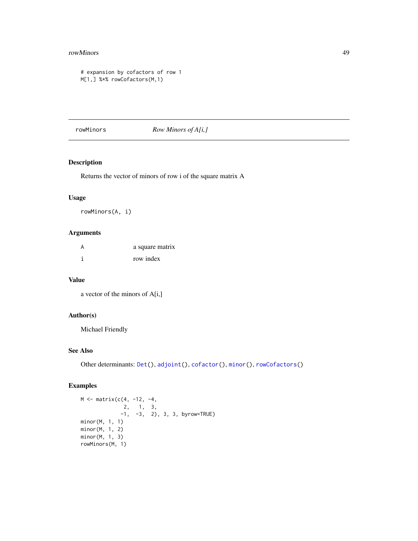#### <span id="page-48-0"></span>rowMinors 49

```
# expansion by cofactors of row 1
M[1,] %*% rowCofactors(M,1)
```
#### <span id="page-48-1"></span>rowMinors *Row Minors of A[i,]*

# Description

Returns the vector of minors of row i of the square matrix A

# Usage

rowMinors(A, i)

# Arguments

| А | a square matrix |
|---|-----------------|
|   | row index       |

# Value

a vector of the minors of A[i,]

# Author(s)

Michael Friendly

# See Also

Other determinants: [Det\(](#page-13-1)), [adjoint\(](#page-2-1)), [cofactor\(](#page-10-1)), [minor\(](#page-26-1)), [rowCofactors\(](#page-47-1))

```
M <- matrix(c(4, -12, -4,
              2, 1, 3,
             -1, -3, 2), 3, 3, byrow=TRUE)
minor(M, 1, 1)
minor(M, 1, 2)
minor(M, 1, 3)
rowMinors(M, 1)
```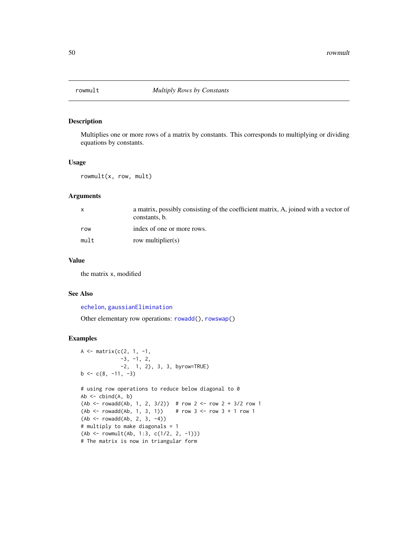<span id="page-49-1"></span><span id="page-49-0"></span>

Multiplies one or more rows of a matrix by constants. This corresponds to multiplying or dividing equations by constants.

#### Usage

rowmult(x, row, mult)

#### Arguments

|      | a matrix, possibly consisting of the coefficient matrix, A, joined with a vector of<br>constants, b. |
|------|------------------------------------------------------------------------------------------------------|
| row  | index of one or more rows.                                                                           |
| mult | row multiplier(s)                                                                                    |

# Value

the matrix x, modified

# See Also

[echelon](#page-14-1), [gaussianElimination](#page-16-1)

Other elementary row operations: [rowadd\(](#page-46-1)), [rowswap\(](#page-50-1))

```
A <- matrix(c(2, 1, -1,
             -3, -1, 2,-2, 1, 2), 3, 3, byrow=TRUE)
b \leq c(8, -11, -3)# using row operations to reduce below diagonal to 0
Ab \leftarrow \text{cbind}(A, b)(Ab < - rowadd(Ab, 1, 2, 3/2)) # row 2 <- row 2 + 3/2 row 1
(Ab <- rowadd(Ab, 1, 3, 1)) # row 3 <- row 3 + 1 row 1
(Ab < - rowadd(Ab, 2, 3, -4))# multiply to make diagonals = 1
(Ab <- rowmult(Ab, 1:3, c(1/2, 2, -1)))
# The matrix is now in triangular form
```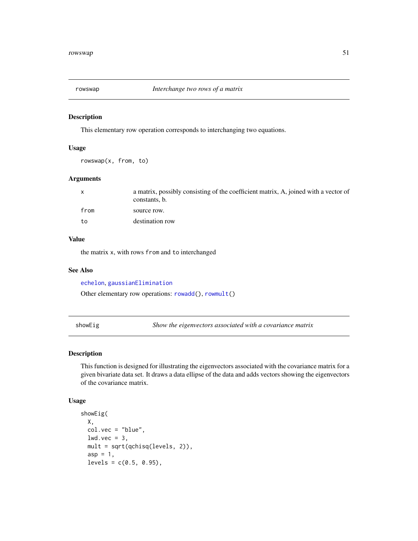<span id="page-50-1"></span><span id="page-50-0"></span>

This elementary row operation corresponds to interchanging two equations.

#### Usage

rowswap(x, from, to)

#### Arguments

| $\mathsf{x}$ | a matrix, possibly consisting of the coefficient matrix, A, joined with a vector of<br>constants, b. |
|--------------|------------------------------------------------------------------------------------------------------|
| from         | source row.                                                                                          |
| to           | destination row                                                                                      |

# Value

the matrix x, with rows from and to interchanged

#### See Also

[echelon](#page-14-1), [gaussianElimination](#page-16-1)

Other elementary row operations: [rowadd\(](#page-46-1)), [rowmult\(](#page-49-1))

<span id="page-50-2"></span>showEig *Show the eigenvectors associated with a covariance matrix*

# Description

This function is designed for illustrating the eigenvectors associated with the covariance matrix for a given bivariate data set. It draws a data ellipse of the data and adds vectors showing the eigenvectors of the covariance matrix.

#### Usage

```
showEig(
 X,
 col.vec = "blue",
 lwd.vec = 3,
 mult = sqrt(qchisq(levels, 2)),
  asp = 1,levels = c(0.5, 0.95),
```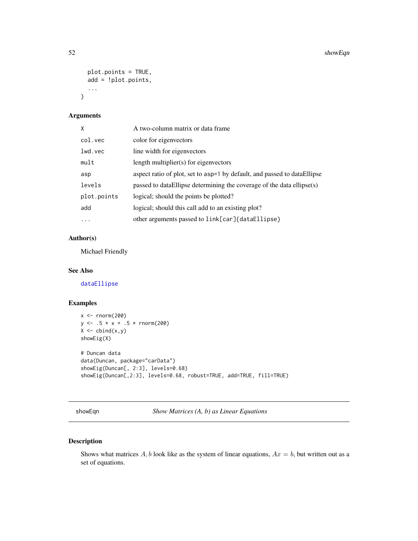```
plot.points = TRUE,
  add = !plot.points,
  ...
\mathcal{L}
```
#### Arguments

| X           | A two-column matrix or data frame                                        |
|-------------|--------------------------------------------------------------------------|
| col.vec     | color for eigenvectors                                                   |
| lwd.vec     | line width for eigenvectors                                              |
| mult        | length multiplier(s) for eigenvectors                                    |
| asp         | aspect ratio of plot, set to asp=1 by default, and passed to dataEllipse |
| levels      | passed to dataEllipse determining the coverage of the data ellipse(s)    |
| plot.points | logical; should the points be plotted?                                   |
| add         | logical; should this call add to an existing plot?                       |
| .           | other arguments passed to link[car]{dataEllipse}                         |

# Author(s)

Michael Friendly

#### See Also

[dataEllipse](#page-0-0)

# Examples

```
x <- rnorm(200)
y \le -0.5 \times x + 0.5 \times \text{norm}(200)X \leftarrow \text{cbind}(x, y)showEig(X)
# Duncan data
data(Duncan, package="carData")
showEig(Duncan[, 2:3], levels=0.68)
showEig(Duncan[,2:3], levels=0.68, robust=TRUE, add=TRUE, fill=TRUE)
```
<span id="page-51-1"></span>showEqn *Show Matrices (A, b) as Linear Equations*

# Description

Shows what matrices  $A$ ,  $b$  look like as the system of linear equations,  $Ax = b$ , but written out as a set of equations.

<span id="page-51-0"></span>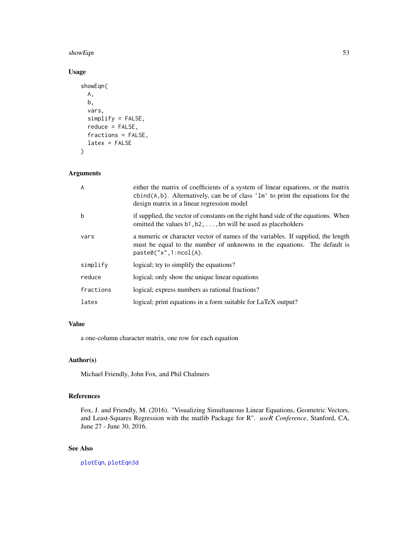#### <span id="page-52-0"></span>showEqn 53

# Usage

```
showEqn(
 A,
 b,
  vars,
  simplify = FALSE,
  reduce = FALSE,
  fractions = FALSE,
  latex = FALSE
\mathcal{L}
```
# Arguments

| A         | either the matrix of coefficients of a system of linear equations, or the matrix<br>cbind( $A$ , b). Alternatively, can be of class 'lm' to print the equations for the<br>design matrix in a linear regression model |
|-----------|-----------------------------------------------------------------------------------------------------------------------------------------------------------------------------------------------------------------------|
| h         | if supplied, the vector of constants on the right hand side of the equations. When<br>omitted the values $b1, b2, \ldots$ , bn will be used as placeholders                                                           |
| vars      | a numeric or character vector of names of the variables. If supplied, the length<br>must be equal to the number of unknowns in the equations. The default is<br>paste@("x", 1:ncol(A).                                |
| simplify  | logical; try to simplify the equations?                                                                                                                                                                               |
| reduce    | logical; only show the unique linear equations                                                                                                                                                                        |
| fractions | logical; express numbers as rational fractions?                                                                                                                                                                       |
| latex     | logical; print equations in a form suitable for LaTeX output?                                                                                                                                                         |

# Value

a one-column character matrix, one row for each equation

# Author(s)

Michael Friendly, John Fox, and Phil Chalmers

# References

Fox, J. and Friendly, M. (2016). "Visualizing Simultaneous Linear Equations, Geometric Vectors, and Least-Squares Regression with the matlib Package for R". *useR Conference*, Stanford, CA, June 27 - June 30, 2016.

# See Also

[plotEqn](#page-31-1), [plotEqn3d](#page-33-1)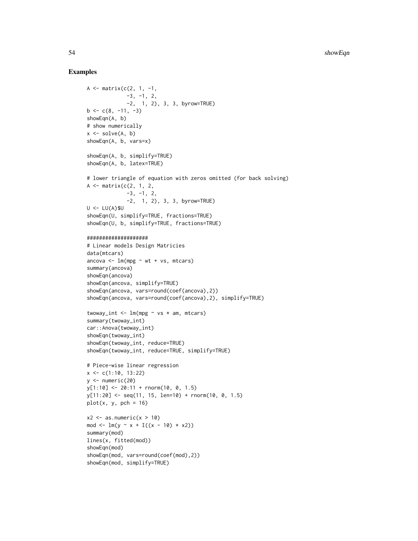```
A <- matrix(c(2, 1, -1,-3, -1, 2,-2, 1, 2), 3, 3, byrow=TRUE)
b \leq c(8, -11, -3)showEqn(A, b)
# show numerically
x \leftarrow solve(A, b)showEqn(A, b, vars=x)
showEqn(A, b, simplify=TRUE)
showEqn(A, b, latex=TRUE)
# lower triangle of equation with zeros omitted (for back solving)
A \leq matrix(c(2, 1, 2,
             -3, -1, 2,-2, 1, 2), 3, 3, byrow=TRUE)
U < - LU(A)$U
showEqn(U, simplify=TRUE, fractions=TRUE)
showEqn(U, b, simplify=TRUE, fractions=TRUE)
####################
# Linear models Design Matricies
data(mtcars)
ancova \leq lm(mpg \sim wt + vs, mtcars)
summary(ancova)
showEqn(ancova)
showEqn(ancova, simplify=TRUE)
showEqn(ancova, vars=round(coef(ancova),2))
showEqn(ancova, vars=round(coef(ancova),2), simplify=TRUE)
twoway_int <- lm(mpg \sim vs * am, mtcars)summary(twoway_int)
car::Anova(twoway_int)
showEqn(twoway_int)
showEqn(twoway_int, reduce=TRUE)
showEqn(twoway_int, reduce=TRUE, simplify=TRUE)
# Piece-wise linear regression
x \leq -c(1:10, 13:22)y \leftarrow numeric(20)
y[1:10] <- 20:11 + rnorm(10, 0, 1.5)
y[11:20] <- seq(11, 15, len=10) + rnorm(10, 0, 1.5)
plot(x, y, pch = 16)x2 \leq -as.numeric(x > 10)mod <- lm(y \sim x + I((x - 10) * x2))summary(mod)
lines(x, fitted(mod))
showEqn(mod)
showEqn(mod, vars=round(coef(mod),2))
showEqn(mod, simplify=TRUE)
```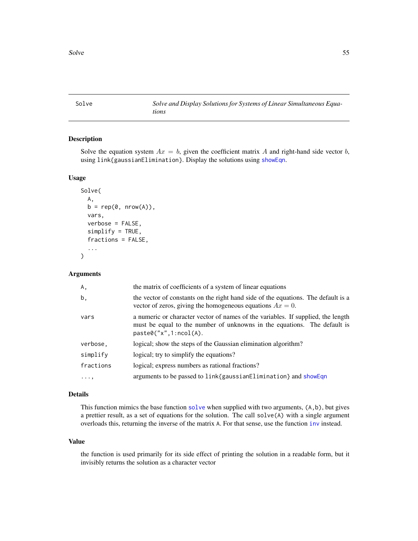<span id="page-54-0"></span>Solve *Solve and Display Solutions for Systems of Linear Simultaneous Equations*

# Description

Solve the equation system  $Ax = b$ , given the coefficient matrix A and right-hand side vector b, using link{gaussianElimination}. Display the solutions using [showEqn](#page-51-1).

#### Usage

```
Solve(
  A,
 b = rep(0, nrow(A)),vars,
  verbose = FALSE,
  simplify = TRUE,
  fractions = FALSE,
  ...
\mathcal{L}
```
#### Arguments

| Α,         | the matrix of coefficients of a system of linear equations                                                                                                                               |
|------------|------------------------------------------------------------------------------------------------------------------------------------------------------------------------------------------|
| b,         | the vector of constants on the right hand side of the equations. The default is a<br>vector of zeros, giving the homogeneous equations $Ax = 0$ .                                        |
| vars       | a numeric or character vector of names of the variables. If supplied, the length<br>must be equal to the number of unknowns in the equations. The default is<br>paste0('x'', 1:ncol(A)). |
| verbose,   | logical; show the steps of the Gaussian elimination algorithm?                                                                                                                           |
| simplify   | logical; try to simplify the equations?                                                                                                                                                  |
| fractions  | logical; express numbers as rational fractions?                                                                                                                                          |
| $\cdots$ . | arguments to be passed to link{gaussianElimination} and showEqn                                                                                                                          |

# Details

This function mimics the base function [solve](#page-0-0) when supplied with two arguments,  $(A, b)$ , but gives a prettier result, as a set of equations for the solution. The call solve(A) with a single argument overloads this, returning the inverse of the matrix A. For that sense, use the function [inv](#page-21-2) instead.

#### Value

the function is used primarily for its side effect of printing the solution in a readable form, but it invisibly returns the solution as a character vector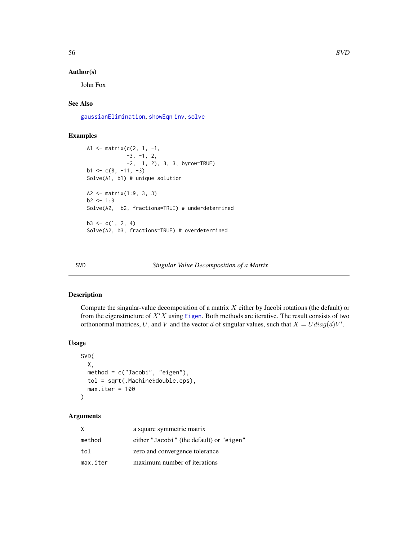#### Author(s)

John Fox

# See Also

[gaussianElimination](#page-16-1), [showEqn](#page-51-1) [inv](#page-21-2), [solve](#page-0-0)

# Examples

```
A1 <- matrix(c(2, 1, -1,
             -3, -1, 2,
             -2, 1, 2), 3, 3, byrow=TRUE)
b1 \leftarrow c(8, -11, -3)Solve(A1, b1) # unique solution
A2 <- matrix(1:9, 3, 3)
b2 < -1:3Solve(A2, b2, fractions=TRUE) # underdetermined
b3 \leq c(1, 2, 4)Solve(A2, b3, fractions=TRUE) # overdetermined
```
#### <span id="page-55-1"></span>SVD *Singular Value Decomposition of a Matrix*

#### Description

Compute the singular-value decomposition of a matrix  $X$  either by Jacobi rotations (the default) or from the eigenstructure of  $X'X$  using [Eigen](#page-15-1). Both methods are iterative. The result consists of two orthonormal matrices, U, and V and the vector d of singular values, such that  $X = U diag(d)V'$ .

#### Usage

```
SVD(
 X,
 method = c("Jacobi", "eigen"),
 tol = sqrt(.Machine$double.eps),
 max.iter = 100)
```
#### Arguments

| Χ        | a square symmetric matrix                |
|----------|------------------------------------------|
| method   | either "Jacobi" (the default) or "eigen" |
| tol      | zero and convergence tolerance           |
| max.iter | maximum number of iterations             |

<span id="page-55-0"></span>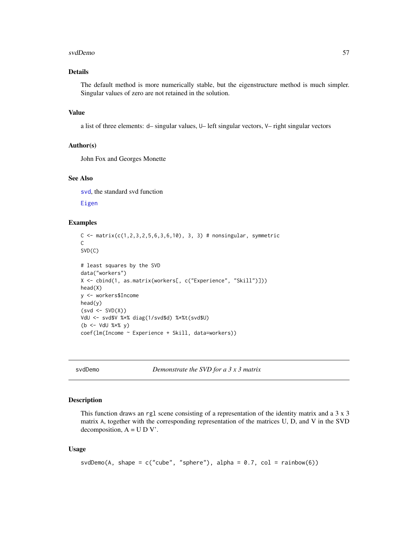#### <span id="page-56-0"></span>svdDemo 57

# Details

The default method is more numerically stable, but the eigenstructure method is much simpler. Singular values of zero are not retained in the solution.

### Value

a list of three elements: d– singular values, U– left singular vectors, V– right singular vectors

#### Author(s)

John Fox and Georges Monette

#### See Also

[svd](#page-0-0), the standard svd function

[Eigen](#page-15-1)

# Examples

```
C <- matrix(c(1, 2, 3, 2, 5, 6, 3, 6, 10), 3, 3) # nonsingular, symmetric
C
SVD(C)
# least squares by the SVD
data("workers")
X <- cbind(1, as.matrix(workers[, c("Experience", "Skill")]))
head(X)
y <- workers$Income
head(y)
(svd \leftarrow SVD(X))VdU <- svd$V %*% diag(1/svd$d) %*%t(svd$U)
(b <- VdU %*% y)
coef(lm(Income ~ Experience + Skill, data=workers))
```
svdDemo *Demonstrate the SVD for a 3 x 3 matrix*

#### Description

This function draws an rgl scene consisting of a representation of the identity matrix and a 3 x 3 matrix A, together with the corresponding representation of the matrices U, D, and V in the SVD decomposition,  $A = U D V'$ .

#### Usage

```
svdDemo(A, shape = c("cube", "sphere"), alpha = 0.7, col = rainbow(6))
```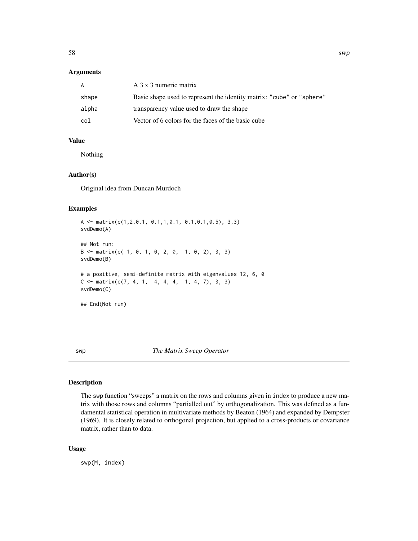#### <span id="page-57-0"></span>Arguments

| A     | A 3 x 3 numeric matrix                                                |
|-------|-----------------------------------------------------------------------|
| shape | Basic shape used to represent the identity matrix: "cube" or "sphere" |
| alpha | transparency value used to draw the shape                             |
| col   | Vector of 6 colors for the faces of the basic cube                    |

#### Value

Nothing

#### Author(s)

Original idea from Duncan Murdoch

#### Examples

```
A <- matrix(c(1,2,0.1, 0.1,1,0.1, 0.1,0.1,0.5), 3,3)
svdDemo(A)
## Not run:
B \le - matrix(c( 1, 0, 1, 0, 2, 0, 1, 0, 2), 3, 3)
svdDemo(B)
# a positive, semi-definite matrix with eigenvalues 12, 6, 0
C \leq - matrix(c(7, 4, 1, 4, 4, 4, 1, 4, 7), 3, 3)
svdDemo(C)
## End(Not run)
```
<span id="page-57-1"></span>swp *The Matrix Sweep Operator*

# Description

The swp function "sweeps" a matrix on the rows and columns given in index to produce a new matrix with those rows and columns "partialled out" by orthogonalization. This was defined as a fundamental statistical operation in multivariate methods by Beaton (1964) and expanded by Dempster (1969). It is closely related to orthogonal projection, but applied to a cross-products or covariance matrix, rather than to data.

#### Usage

swp(M, index)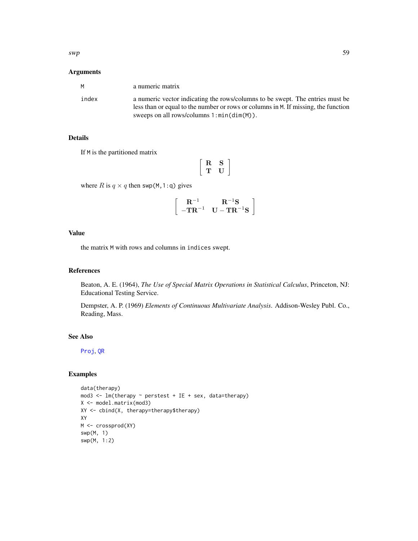# <span id="page-58-0"></span>Arguments

| M     | a numeric matrix                                                                                                                                                                                                    |
|-------|---------------------------------------------------------------------------------------------------------------------------------------------------------------------------------------------------------------------|
| index | a numeric vector indicating the rows/columns to be swept. The entries must be<br>less than or equal to the number or rows or columns in M. If missing, the function<br>sweeps on all rows/columns $1:min(dim(M))$ . |

# Details

If M is the partitioned matrix

$$
\left[\begin{array}{cc} R & S \\ T & U \end{array}\right]
$$

where R is  $q \times q$  then swp(M, 1:q) gives

$$
\left[\begin{array}{cc}\mathbf{R}^{-1} & \mathbf{R}^{-1}\mathbf{S} \\ -\mathbf{T}\mathbf{R}^{-1} & \mathbf{U}-\mathbf{T}\mathbf{R}^{-1}\mathbf{S}\end{array}\right]
$$

# Value

the matrix M with rows and columns in indices swept.

# References

Beaton, A. E. (1964), *The Use of Special Matrix Operations in Statistical Calculus*, Princeton, NJ: Educational Testing Service.

Dempster, A. P. (1969) *Elements of Continuous Multivariate Analysis*. Addison-Wesley Publ. Co., Reading, Mass.

# See Also

[Proj](#page-39-1), [QR](#page-40-1)

```
data(therapy)
mod3 <- lm(therapy ~ perstest + IE + sex, data=therapy)
X <- model.matrix(mod3)
XY <- cbind(X, therapy=therapy$therapy)
XY
M <- crossprod(XY)
swp(M, 1)
swp(M, 1:2)
```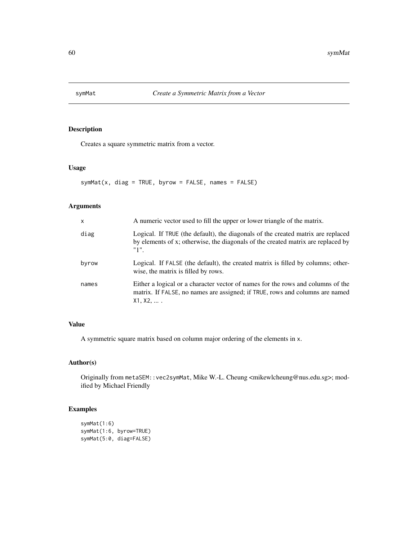<span id="page-59-0"></span>

Creates a square symmetric matrix from a vector.

#### Usage

 $symMat(x, diag = TRUE, byrow = FALSE, names = FALSE)$ 

# Arguments

| $\mathsf{x}$ | A numeric vector used to fill the upper or lower triangle of the matrix.                                                                                                     |
|--------------|------------------------------------------------------------------------------------------------------------------------------------------------------------------------------|
| diag         | Logical. If TRUE (the default), the diagonals of the created matrix are replaced<br>by elements of x; otherwise, the diagonals of the created matrix are replaced by<br>"1". |
| byrow        | Logical. If FALSE (the default), the created matrix is filled by columns; other-<br>wise, the matrix is filled by rows.                                                      |
| names        | Either a logical or a character vector of names for the rows and columns of the<br>matrix. If FALSE, no names are assigned; if TRUE, rows and columns are named<br>X1, X2,   |

# Value

A symmetric square matrix based on column major ordering of the elements in x.

#### Author(s)

Originally from metaSEM::vec2symMat, Mike W.-L. Cheung <mikewlcheung@nus.edu.sg>; modified by Michael Friendly

```
symMat(1:6)
symMat(1:6, byrow=TRUE)
symMat(5:0, diag=FALSE)
```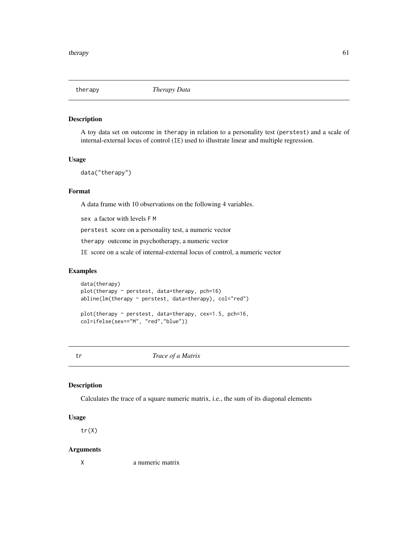<span id="page-60-0"></span>

A toy data set on outcome in therapy in relation to a personality test (perstest) and a scale of internal-external locus of control (IE) used to illustrate linear and multiple regression.

#### Usage

data("therapy")

#### Format

A data frame with 10 observations on the following 4 variables.

sex a factor with levels F M

perstest score on a personality test, a numeric vector

therapy outcome in psychotherapy, a numeric vector

IE score on a scale of internal-external locus of control, a numeric vector

#### Examples

data(therapy) plot(therapy ~ perstest, data=therapy, pch=16) abline(lm(therapy ~ perstest, data=therapy), col="red")

plot(therapy ~ perstest, data=therapy, cex=1.5, pch=16, col=ifelse(sex=="M", "red","blue"))

<span id="page-60-1"></span>tr *Trace of a Matrix*

#### Description

Calculates the trace of a square numeric matrix, i.e., the sum of its diagonal elements

#### Usage

 $tr(X)$ 

#### Arguments

X a numeric matrix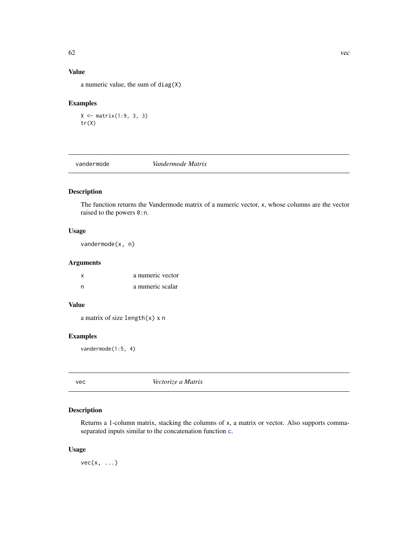# Value

a numeric value, the sum of diag(X)

# Examples

```
X <- matrix(1:9, 3, 3)
tr(X)
```
<span id="page-61-2"></span>vandermode *Vandermode Matrix*

# Description

The function returns the Vandermode matrix of a numeric vector, x, whose columns are the vector raised to the powers  $0:n$ .

#### Usage

vandermode(x, n)

# Arguments

|   | a numeric vector |
|---|------------------|
| n | a numeric scalar |

# Value

a matrix of size length(x) x n

# Examples

vandermode(1:5, 4)

<span id="page-61-1"></span>vec *Vectorize a Matrix*

# Description

Returns a 1-column matrix, stacking the columns of x, a matrix or vector. Also supports commaseparated inputs similar to the concatenation function [c](#page-0-0).

#### Usage

 $vec(x, \ldots)$ 

<span id="page-61-0"></span>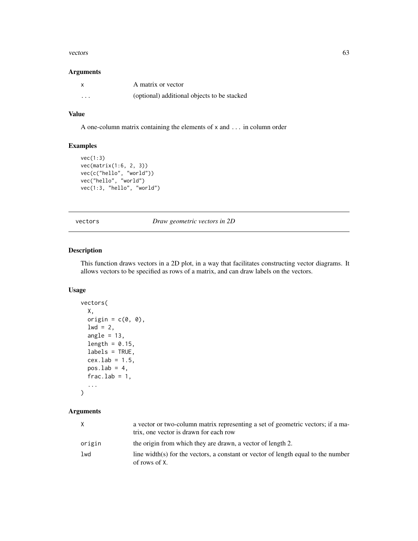#### <span id="page-62-0"></span>vectors 63

#### Arguments

|          | A matrix or vector                          |
|----------|---------------------------------------------|
| $\cdots$ | (optional) additional objects to be stacked |

#### Value

A one-column matrix containing the elements of x and ... in column order

# Examples

```
vec(1:3)
vec(matrix(1:6, 2, 3))
vec(c("hello", "world"))
vec("hello", "world")
vec(1:3, "hello", "world")
```
<span id="page-62-1"></span>vectors *Draw geometric vectors in 2D*

#### Description

This function draws vectors in a 2D plot, in a way that facilitates constructing vector diagrams. It allows vectors to be specified as rows of a matrix, and can draw labels on the vectors.

# Usage

```
vectors(
  X,
  origin = c(\emptyset, \emptyset),
  1wd = 2,
  angle = 13,
  length = 0.15,
  labels = TRUE,cex.1ab = 1.5,
  pos.lab = 4,frac.lab = 1,
  ...
)
```
# Arguments

| X      | a vector or two-column matrix representing a set of geometric vectors; if a ma-<br>trix, one vector is drawn for each row |
|--------|---------------------------------------------------------------------------------------------------------------------------|
| origin | the origin from which they are drawn, a vector of length 2.                                                               |
| $1$ wd | line width(s) for the vectors, a constant or vector of length equal to the number<br>of rows of X.                        |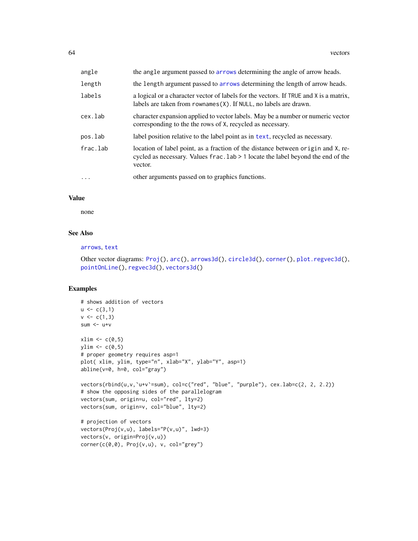<span id="page-63-0"></span>

| angle    | the angle argument passed to arrows determining the angle of arrow heads.                                                                                                       |
|----------|---------------------------------------------------------------------------------------------------------------------------------------------------------------------------------|
| length   | the length argument passed to arrows determining the length of arrow heads.                                                                                                     |
| labels   | a logical or a character vector of labels for the vectors. If TRUE and X is a matrix,<br>labels are taken from $romames(X)$ . If NULL, no labels are drawn.                     |
| cex.lab  | character expansion applied to vector labels. May be a number or numeric vector<br>corresponding to the the rows of X, recycled as necessary.                                   |
| pos.lab  | label position relative to the label point as in text, recycled as necessary.                                                                                                   |
| frac.lab | location of label point, as a fraction of the distance between origin and X, re-<br>cycled as necessary. Values frac. lab > 1 locate the label beyond the end of the<br>vector. |
| $\ddots$ | other arguments passed on to graphics functions.                                                                                                                                |

#### Value

none

# See Also

# [arrows](#page-0-0), [text](#page-0-0)

```
Other vector diagrams: Proj(), arc(), arrows3d(), circle3d(), corner(), plot.regvec3d(),
pointOnLine(), regvec3d(), vectors3d()
```

```
# shows addition of vectors
u \leftarrow c(3,1)v \leq c(1,3)sum <- u+v
xlim \leftarrow c(0,5)ylim \leftarrow c(0,5)# proper geometry requires asp=1
plot( xlim, ylim, type="n", xlab="X", ylab="Y", asp=1)
abline(v=0, h=0, col="gray")
vectors(rbind(u,v,`u+v`=sum), col=c("red", "blue", "purple"), cex.lab=c(2, 2, 2.2))
# show the opposing sides of the parallelogram
vectors(sum, origin=u, col="red", lty=2)
vectors(sum, origin=v, col="blue", lty=2)
# projection of vectors
vectors(Proj(v,u), labels="P(v,u)", lwd=3)
vectors(v, origin=Proj(v,u))
corner(c(0,0), Proj(v,u), v, col="grey")
```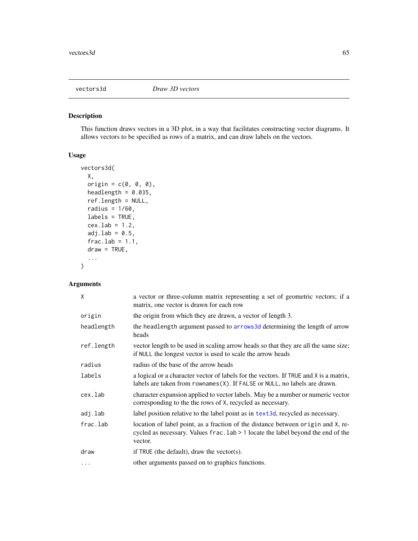<span id="page-64-1"></span><span id="page-64-0"></span>

This function draws vectors in a 3D plot, in a way that facilitates constructing vector diagrams. It allows vectors to be specified as rows of a matrix, and can draw labels on the vectors.

# Usage

```
vectors3d(
  X,
  origin = c(\emptyset, \emptyset, \emptyset),
  headlength = 0.035,
  ref.length = NULL,
  radius = 1/60,
  labels = TRUE,
  cex.1ab = 1.2,
  adj.lab = 0.5,
  frac.lab = 1.1,
  draw = TRUE,...
)
```
# Arguments

| X          | a vector or three-column matrix representing a set of geometric vectors; if a<br>matrix, one vector is drawn for each row                                                       |
|------------|---------------------------------------------------------------------------------------------------------------------------------------------------------------------------------|
| origin     | the origin from which they are drawn, a vector of length 3.                                                                                                                     |
| headlength | the headlength argument passed to arrows 3d determining the length of arrow<br>heads                                                                                            |
| ref.length | vector length to be used in scaling arrow heads so that they are all the same size;<br>if NULL the longest vector is used to scale the arrow heads                              |
| radius     | radius of the base of the arrow heads                                                                                                                                           |
| labels     | a logical or a character vector of labels for the vectors. If TRUE and X is a matrix,<br>labels are taken from $r$ ownames $(X)$ . If $FALSE$ or NULL, no labels are drawn.     |
| cex.lab    | character expansion applied to vector labels. May be a number or numeric vector<br>corresponding to the the rows of X, recycled as necessary.                                   |
| adj.lab    | label position relative to the label point as in text3d, recycled as necessary.                                                                                                 |
| frac.lab   | location of label point, as a fraction of the distance between origin and X, re-<br>cycled as necessary. Values frac. lab > 1 locate the label beyond the end of the<br>vector. |
| draw       | if TRUE (the default), draw the vector(s).                                                                                                                                      |
| $\cdots$   | other arguments passed on to graphics functions.                                                                                                                                |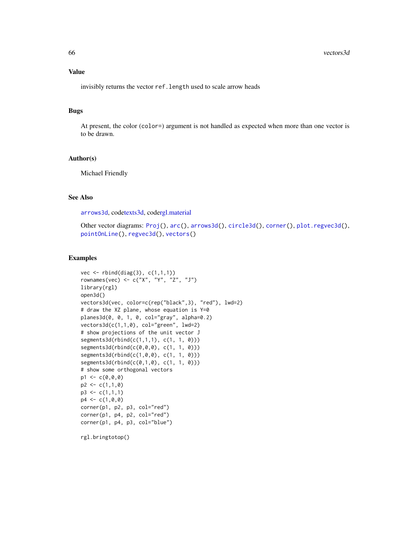<span id="page-65-0"></span>invisibly returns the vector ref.length used to scale arrow heads

#### Bugs

At present, the color (color=) argument is not handled as expected when more than one vector is to be drawn.

#### Author(s)

Michael Friendly

# See Also

[arrows3d](#page-5-1), cod[etexts3d,](#page-0-0) cod[ergl.material](#page-0-0)

Other vector diagrams: [Proj\(](#page-39-1)), [arc\(](#page-4-1)), [arrows3d\(](#page-5-1)), [circle3d\(](#page-9-1)), [corner\(](#page-12-1)), [plot.regvec3d\(](#page-29-1)), [pointOnLine\(](#page-34-1)), [regvec3d\(](#page-43-1)), [vectors\(](#page-62-1))

#### Examples

```
vec \leftarrow rbind(diag(3), c(1,1,1))
rownames(vec) <- c("X", "Y", "Z", "J")
library(rgl)
open3d()
vectors3d(vec, color=c(rep("black",3), "red"), lwd=2)
# draw the XZ plane, whose equation is Y=0
planes3d(0, 0, 1, 0, col="gray", alpha=0.2)
vectors3d(c(1,1,0), col="green", lwd=2)
# show projections of the unit vector J
segments3d(rbind(c(1,1,1), c(1, 1, 0)))
segments3d(rbind(c(0,0,0), c(1, 1, 0)))
segments3d(rbind(c(1,0,0), c(1, 1, 0)))
segments3d(rbind(c(0,1,0), c(1, 1, 0)))
# show some orthogonal vectors
p1 \leftarrow c(0, 0, 0)p2 \leq -c(1,1,0)p3 \leq c(1,1,1)p4 \leq c(1, 0, 0)corner(p1, p2, p3, col="red")
corner(p1, p4, p2, col="red")
corner(p1, p4, p3, col="blue")
```
rgl.bringtotop()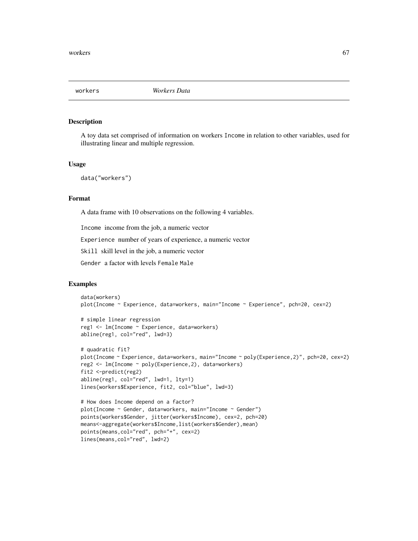<span id="page-66-0"></span>

A toy data set comprised of information on workers Income in relation to other variables, used for illustrating linear and multiple regression.

#### Usage

```
data("workers")
```
# Format

A data frame with 10 observations on the following 4 variables.

Income income from the job, a numeric vector

Experience number of years of experience, a numeric vector

Skill skill level in the job, a numeric vector

Gender a factor with levels Female Male

```
data(workers)
plot(Income ~ Experience, data=workers, main="Income ~ Experience", pch=20, cex=2)
```

```
# simple linear regression
reg1 <- lm(Income ~ Experience, data=workers)
abline(reg1, col="red", lwd=3)
```

```
# quadratic fit?
plot(Income ~ Experience, data=workers, main="Income ~ poly(Experience,2)", pch=20, cex=2)
reg2 <- lm(Income ~ poly(Experience,2), data=workers)
fit2 <-predict(reg2)
abline(reg1, col="red", lwd=1, lty=1)
lines(workers$Experience, fit2, col="blue", lwd=3)
```

```
# How does Income depend on a factor?
plot(Income ~ Gender, data=workers, main="Income ~ Gender")
points(workers$Gender, jitter(workers$Income), cex=2, pch=20)
means<-aggregate(workers$Income,list(workers$Gender),mean)
points(means,col="red", pch="+", cex=2)
lines(means,col="red", lwd=2)
```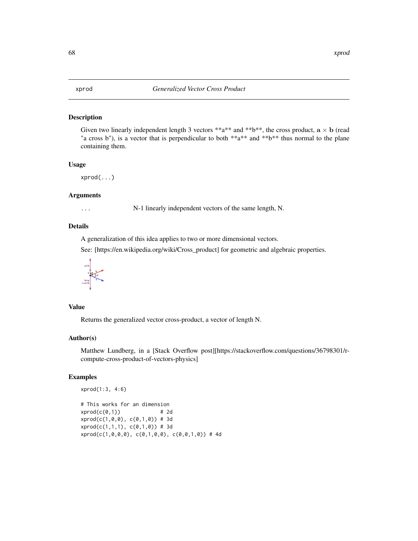<span id="page-67-0"></span>

Given two linearly independent length 3 vectors \*\*a\*\* and \*\*b\*\*, the cross product,  $a \times b$  (read "a cross b"), is a vector that is perpendicular to both  $**a**$  and  $**b**$  thus normal to the plane containing them.

#### Usage

xprod(...)

# Arguments

... N-1 linearly independent vectors of the same length, N.

# Details

A generalization of this idea applies to two or more dimensional vectors.

See: [https://en.wikipedia.org/wiki/Cross\_product] for geometric and algebraic properties.



# Value

Returns the generalized vector cross-product, a vector of length N.

#### Author(s)

Matthew Lundberg, in a [Stack Overflow post][https://stackoverflow.com/questions/36798301/rcompute-cross-product-of-vectors-physics]

```
xprod(1:3, 4:6)
```

```
# This works for an dimension
xprod(c(0,1)) # 2d
xprod(c(1,0,0), c(0,1,0)) # 3d
xprod(c(1,1,1), c(0,1,0)) # 3d
xprod(c(1,0,0,0), c(0,1,0,0), c(0,0,1,0)) # 4d
```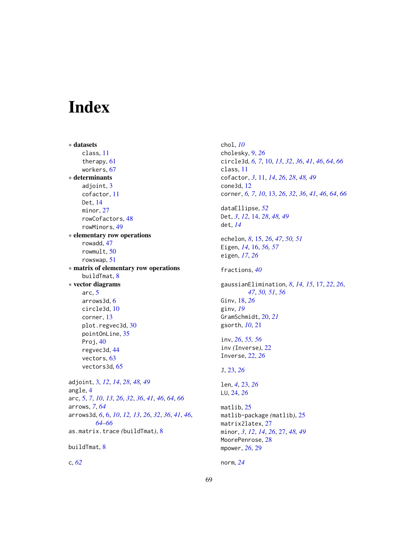# <span id="page-68-0"></span>Index

∗ datasets class, [11](#page-10-0) therapy, [61](#page-60-0) workers, [67](#page-66-0) ∗ determinants adjoint, [3](#page-2-0) cofactor, [11](#page-10-0) Det, [14](#page-13-0) minor, [27](#page-26-0) rowCofactors, [48](#page-47-0) rowMinors, [49](#page-48-0) ∗ elementary row operations rowadd, [47](#page-46-0) rowmult, [50](#page-49-0) rowswap, [51](#page-50-0) ∗ matrix of elementary row operations buildTmat, [8](#page-7-0) ∗ vector diagrams arc, [5](#page-4-0) arrows3d, [6](#page-5-0) circle3d, [10](#page-9-0) corner, [13](#page-12-0) plot.regvec3d, [30](#page-29-0) pointOnLine, [35](#page-34-0) Proj, [40](#page-39-0) regvec3d, [44](#page-43-0) vectors, [63](#page-62-0) vectors3d, [65](#page-64-0) adjoint, [3,](#page-2-0) *[12](#page-11-0)*, *[14](#page-13-0)*, *[28](#page-27-0)*, *[48,](#page-47-0) [49](#page-48-0)* angle, [4](#page-3-0) arc, [5,](#page-4-0) *[7](#page-6-0)*, *[10](#page-9-0)*, *[13](#page-12-0)*, *[26](#page-25-0)*, *[32](#page-31-0)*, *[36](#page-35-0)*, *[41](#page-40-0)*, *[46](#page-45-0)*, *[64](#page-63-0)*, *[66](#page-65-0)* arrows, *[7](#page-6-0)*, *[64](#page-63-0)* arrows3d, *[6](#page-5-0)*, [6,](#page-5-0) *[10](#page-9-0)*, *[12,](#page-11-0) [13](#page-12-0)*, *[26](#page-25-0)*, *[32](#page-31-0)*, *[36](#page-35-0)*, *[41](#page-40-0)*, *[46](#page-45-0)*, *[64](#page-63-0)[–66](#page-65-0)* as.matrix.trace *(*buildTmat*)*, [8](#page-7-0)

```
buildTmat, 8
```
c, *[62](#page-61-0)*

chol, *[10](#page-9-0)* cholesky, [9,](#page-8-0) *[26](#page-25-0)* circle3d, *[6,](#page-5-0) [7](#page-6-0)*, [10,](#page-9-0) *[13](#page-12-0)*, *[32](#page-31-0)*, *[36](#page-35-0)*, *[41](#page-40-0)*, *[46](#page-45-0)*, *[64](#page-63-0)*, *[66](#page-65-0)* class, [11](#page-10-0) cofactor, *[3](#page-2-0)*, [11,](#page-10-0) *[14](#page-13-0)*, *[26](#page-25-0)*, *[28](#page-27-0)*, *[48,](#page-47-0) [49](#page-48-0)* cone3d, [12](#page-11-0) corner, *[6,](#page-5-0) [7](#page-6-0)*, *[10](#page-9-0)*, [13,](#page-12-0) *[26](#page-25-0)*, *[32](#page-31-0)*, *[36](#page-35-0)*, *[41](#page-40-0)*, *[46](#page-45-0)*, *[64](#page-63-0)*, *[66](#page-65-0)* dataEllipse, *[52](#page-51-0)* Det, *[3](#page-2-0)*, *[12](#page-11-0)*, [14,](#page-13-0) *[28](#page-27-0)*, *[48,](#page-47-0) [49](#page-48-0)* det, *[14](#page-13-0)* echelon, *[8](#page-7-0)*, [15,](#page-14-0) *[26](#page-25-0)*, *[47](#page-46-0)*, *[50,](#page-49-0) [51](#page-50-0)* Eigen, *[14](#page-13-0)*, [16,](#page-15-0) *[56,](#page-55-0) [57](#page-56-0)* eigen, *[17](#page-16-0)*, *[26](#page-25-0)* fractions, *[40](#page-39-0)* gaussianElimination, *[8](#page-7-0)*, *[14,](#page-13-0) [15](#page-14-0)*, [17,](#page-16-0) *[22](#page-21-0)*, *[26](#page-25-0)*, *[47](#page-46-0)*, *[50,](#page-49-0) [51](#page-50-0)*, *[56](#page-55-0)* Ginv, [18,](#page-17-0) *[26](#page-25-0)* ginv, *[19](#page-18-0)* GramSchmidt, [20,](#page-19-0) *[21](#page-20-0)* gsorth, *[10](#page-9-0)*, [21](#page-20-0) inv, *[26](#page-25-0)*, *[55,](#page-54-0) [56](#page-55-0)* inv *(*Inverse*)*, [22](#page-21-0) Inverse, [22,](#page-21-0) *[26](#page-25-0)* J, [23,](#page-22-0) *[26](#page-25-0)* len, *[4](#page-3-0)*, [23,](#page-22-0) *[26](#page-25-0)* LU, [24,](#page-23-0) *[26](#page-25-0)* matlib, [25](#page-24-0) matlib-package *(*matlib*)*, [25](#page-24-0) matrix2latex, [27](#page-26-0) minor, *[3](#page-2-0)*, *[12](#page-11-0)*, *[14](#page-13-0)*, *[26](#page-25-0)*, [27,](#page-26-0) *[48,](#page-47-0) [49](#page-48-0)* MoorePenrose, [28](#page-27-0) mpower, *[26](#page-25-0)*, [29](#page-28-0)

norm, *[24](#page-23-0)*